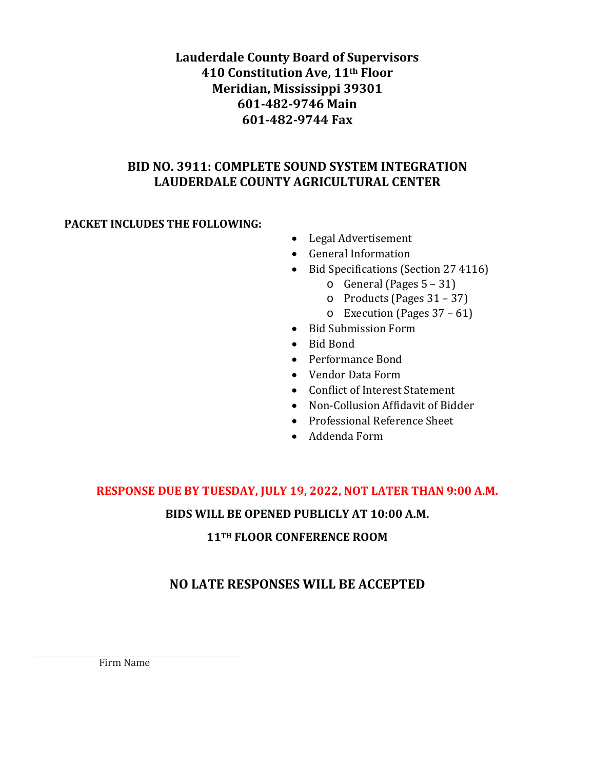# **Lauderdale County Board of Supervisors 410 Constitution Ave, 11th Floor Meridian, Mississippi 39301 601-482-9746 Main 601-482-9744 Fax**

# **BID NO. 3911: COMPLETE SOUND SYSTEM INTEGRATION LAUDERDALE COUNTY AGRICULTURAL CENTER**

# **PACKET INCLUDES THE FOLLOWING:**

- Legal Advertisement
- General Information
- Bid Specifications (Section 27 4116)
	- $\circ$  General (Pages 5 31)
	- o Products (Pages 31 37)
	- o Execution (Pages 37 61)
- Bid Submission Form
- Bid Bond
- Performance Bond
- Vendor Data Form
- Conflict of Interest Statement
- Non-Collusion Affidavit of Bidder
- Professional Reference Sheet
- Addenda Form

# **RESPONSE DUE BY TUESDAY, JULY 19, 2022, NOT LATER THAN 9:00 A.M.**

# **BIDS WILL BE OPENED PUBLICLY AT 10:00 A.M.**

# **11TH FLOOR CONFERENCE ROOM**

# **NO LATE RESPONSES WILL BE ACCEPTED**

Firm Name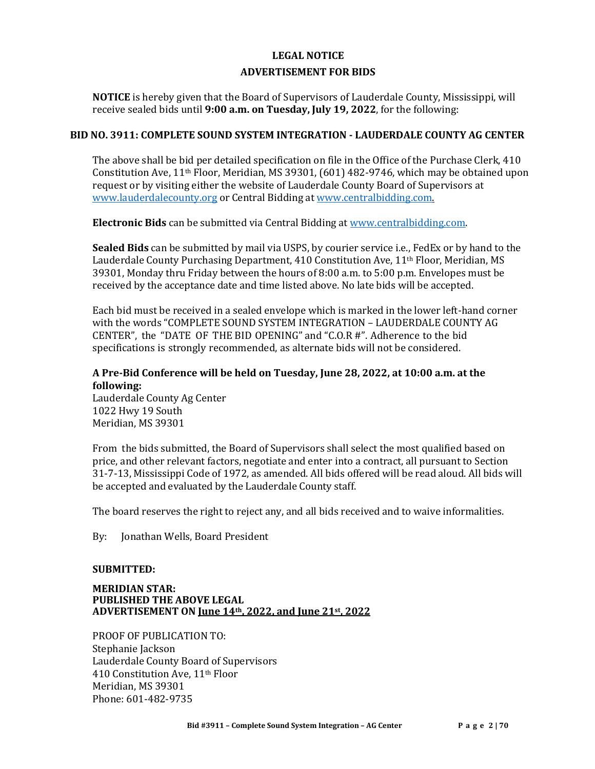# **LEGAL NOTICE ADVERTISEMENT FOR BIDS**

**NOTICE** is hereby given that the Board of Supervisors of Lauderdale County, Mississippi, will receive sealed bids until **9:00 a.m. on Tuesday, July 19, 2022**, for the following:

#### **BID NO. 3911: COMPLETE SOUND SYSTEM INTEGRATION - LAUDERDALE COUNTY AG CENTER**

The above shall be bid per detailed specification on file in the Office of the Purchase Clerk, 410 Constitution Ave, 11th Floor, Meridian, MS 39301, (601) 482-9746, which may be obtained upon request or by visiting either the website of Lauderdale County Board of Supervisors at www.lauderdalecounty.org or Central Bidding at [www.centralbidding.com.](http://www.centralbidding.com/)

**Electronic Bids** can be submitted via Central Bidding at [www.centralbidding.com.](http://www.centralbidding.com/)

**Sealed Bids** can be submitted by mail via USPS, by courier service i.e., FedEx or by hand to the Lauderdale County Purchasing Department, 410 Constitution Ave, 11th Floor, Meridian, MS 39301, Monday thru Friday between the hours of 8:00 a.m. to 5:00 p.m. Envelopes must be received by the acceptance date and time listed above. No late bids will be accepted.

Each bid must be received in a sealed envelope which is marked in the lower left-hand corner with the words "COMPLETE SOUND SYSTEM INTEGRATION – LAUDERDALE COUNTY AG CENTER", the "DATE OF THE BID OPENING" and "C.O.R #". Adherence to the bid specifications is strongly recommended, as alternate bids will not be considered.

#### **A Pre-Bid Conference will be held on Tuesday, June 28, 2022, at 10:00 a.m. at the following:**

Lauderdale County Ag Center 1022 Hwy 19 South Meridian, MS 39301

From the bids submitted, the Board of Supervisors shall select the most qualified based on price, and other relevant factors, negotiate and enter into a contract, all pursuant to Section 31-7-13, Mississippi Code of 1972, as amended. All bids offered will be read aloud. All bids will be accepted and evaluated by the Lauderdale County staff.

The board reserves the right to reject any, and all bids received and to waive informalities.

By: Jonathan Wells, Board President

#### **SUBMITTED:**

#### **MERIDIAN STAR: PUBLISHED THE ABOVE LEGAL ADVERTISEMENT ON June 14th, 2022, and June 21st, 2022**

PROOF OF PUBLICATION TO: Stephanie Jackson Lauderdale County Board of Supervisors 410 Constitution Ave, 11th Floor Meridian, MS 39301 Phone: 601-482-9735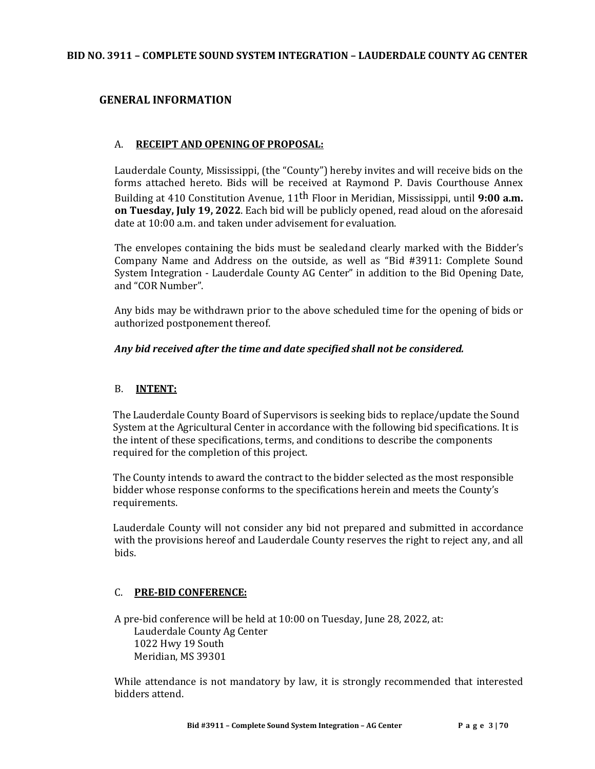#### **BID NO. 3911 – COMPLETE SOUND SYSTEM INTEGRATION – LAUDERDALE COUNTY AG CENTER**

#### **GENERAL INFORMATION**

#### A. **RECEIPT AND OPENING OF PROPOSAL:**

Lauderdale County, Mississippi, (the "County") hereby invites and will receive bids on the forms attached hereto. Bids will be received at Raymond P. Davis Courthouse Annex Building at 410 Constitution Avenue, 11th Floor in Meridian, Mississippi, until **9:00 a.m. on Tuesday, July 19, 2022**. Each bid will be publicly opened, read aloud on the aforesaid date at 10:00 a.m. and taken under advisement for evaluation.

The envelopes containing the bids must be sealedand clearly marked with the Bidder's Company Name and Address on the outside, as well as "Bid #3911: Complete Sound System Integration - Lauderdale County AG Center" in addition to the Bid Opening Date, and "COR Number".

Any bids may be withdrawn prior to the above scheduled time for the opening of bids or authorized postponement thereof.

#### *Any bid received after the time and date specified shall not be considered.*

#### B. **INTENT:**

The Lauderdale County Board of Supervisors is seeking bids to replace/update the Sound System at the Agricultural Center in accordance with the following bid specifications. It is the intent of these specifications, terms, and conditions to describe the components required for the completion of this project.

The County intends to award the contract to the bidder selected as the most responsible bidder whose response conforms to the specifications herein and meets the County's requirements.

Lauderdale County will not consider any bid not prepared and submitted in accordance with the provisions hereof and Lauderdale County reserves the right to reject any, and all bids.

#### C. **PRE-BID CONFERENCE:**

A pre-bid conference will be held at 10:00 on Tuesday, June 28, 2022, at: Lauderdale County Ag Center 1022 Hwy 19 South Meridian, MS 39301

While attendance is not mandatory by law, it is strongly recommended that interested bidders attend.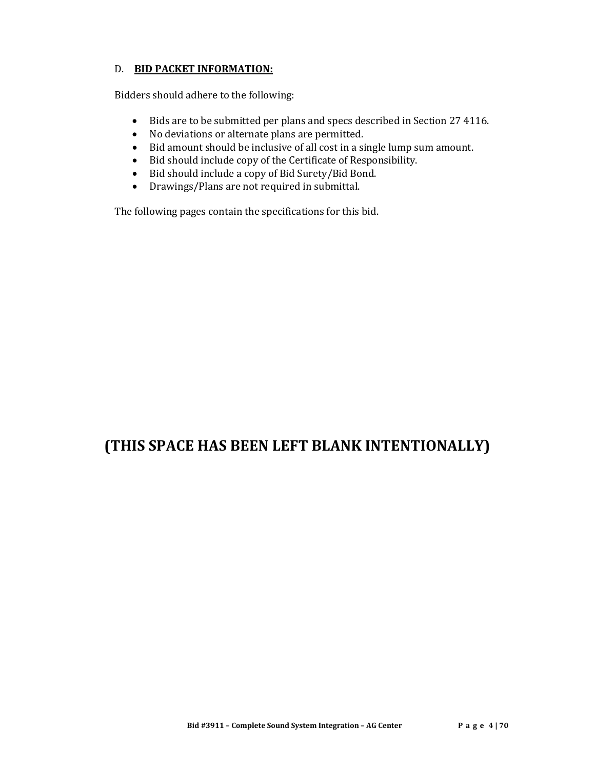#### D. **BID PACKET INFORMATION:**

Bidders should adhere to the following:

- Bids are to be submitted per plans and specs described in Section 27 4116.
- No deviations or alternate plans are permitted.
- Bid amount should be inclusive of all cost in a single lump sum amount.
- Bid should include copy of the Certificate of Responsibility.
- Bid should include a copy of Bid Surety/Bid Bond.<br>• Drawings/Plans are not required in submittal.
- Drawings/Plans are not required in submittal.

The following pages contain the specifications for this bid.

# **(THIS SPACE HAS BEEN LEFT BLANK INTENTIONALLY)**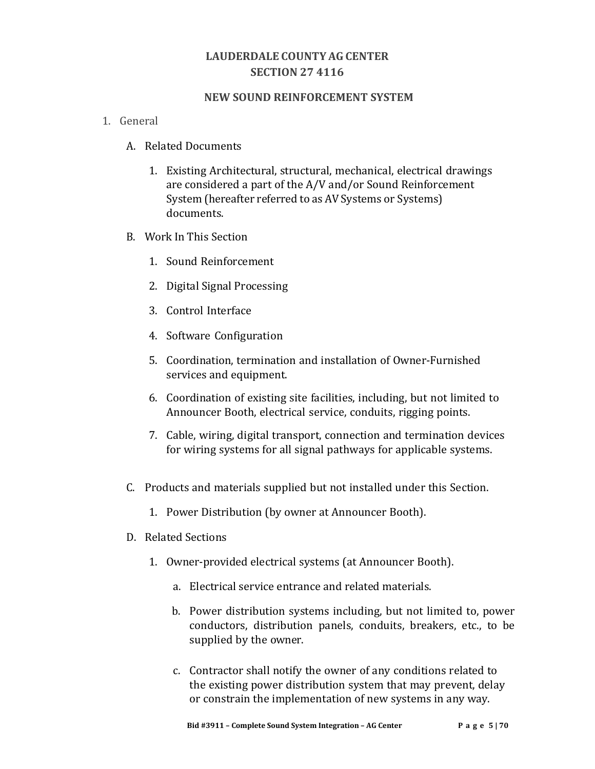# **LAUDERDALE COUNTY AG CENTER SECTION 27 4116**

#### **NEW SOUND REINFORCEMENT SYSTEM**

- 1. General
	- A. Related Documents
		- 1. Existing Architectural, structural, mechanical, electrical drawings are considered a part of the A/V and/or Sound Reinforcement System (hereafter referred to as AV Systems or Systems) documents.
	- B. Work In This Section
		- 1. Sound Reinforcement
		- 2. Digital Signal Processing
		- 3. Control Interface
		- 4. Software Configuration
		- 5. Coordination, termination and installation of Owner-Furnished services and equipment.
		- 6. Coordination of existing site facilities, including, but not limited to Announcer Booth, electrical service, conduits, rigging points.
		- 7. Cable, wiring, digital transport, connection and termination devices for wiring systems for all signal pathways for applicable systems.
	- C. Products and materials supplied but not installed under this Section.
		- 1. Power Distribution (by owner at Announcer Booth).
	- D. Related Sections
		- 1. Owner-provided electrical systems (at Announcer Booth).
			- a. Electrical service entrance and related materials.
			- b. Power distribution systems including, but not limited to, power conductors, distribution panels, conduits, breakers, etc., to be supplied by the owner.
			- c. Contractor shall notify the owner of any conditions related to the existing power distribution system that may prevent, delay or constrain the implementation of new systems in any way.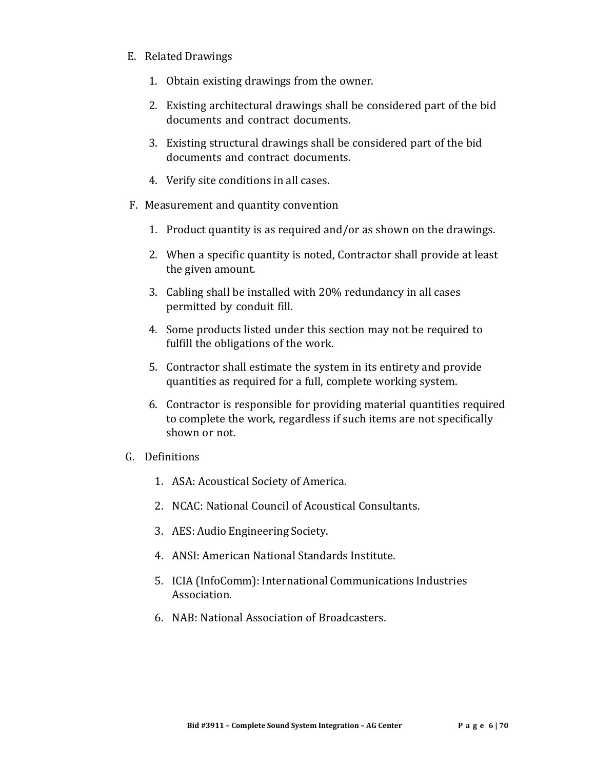#### E. Related Drawings

- 1. Obtain existing drawings from the owner.
- 2. Existing architectural drawings shall be considered part of the bid documents and contract documents.
- 3. Existing structural drawings shall be considered part of the bid documents and contract documents.
- 4. Verify site conditions in all cases.
- F. Measurement and quantity convention
	- 1. Product quantity is as required and/or as shown on the drawings.
	- 2. When a specific quantity is noted, Contractor shall provide at least the given amount.
	- 3. Cabling shall be installed with 20% redundancy in all cases permitted by conduit fill.
	- 4. Some products listed under this section may not be required to fulfill the obligations of the work.
	- 5. Contractor shall estimate the system in its entirety and provide quantities as required for a full, complete working system.
	- 6. Contractor is responsible for providing material quantities required to complete the work, regardless if such items are not specifically shown or not.
- G. Definitions
	- 1. ASA: Acoustical Society of America.
	- 2. NCAC: National Council of Acoustical Consultants.
	- 3. AES: Audio Engineering Society.
	- 4. ANSI: American National Standards Institute.
	- 5. ICIA (InfoComm): International Communications Industries Association.
	- 6. NAB: National Association of Broadcasters.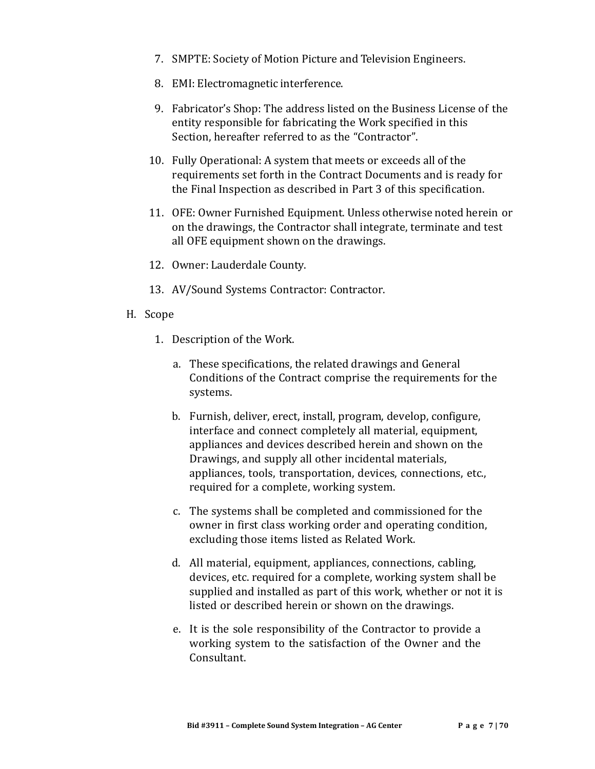- 7. SMPTE: Society of Motion Picture and Television Engineers.
- 8. EMI: Electromagnetic interference.
- 9. Fabricator's Shop: The address listed on the Business License of the entity responsible for fabricating the Work specified in this Section, hereafter referred to as the "Contractor".
- 10. Fully Operational: A system that meets or exceeds all of the requirements set forth in the Contract Documents and is ready for the Final Inspection as described in Part 3 of this specification.
- 11. OFE: Owner Furnished Equipment. Unless otherwise noted herein or on the drawings, the Contractor shall integrate, terminate and test all OFE equipment shown on the drawings.
- 12. Owner: Lauderdale County.
- 13. AV/Sound Systems Contractor: Contractor.
- H. Scope
	- 1. Description of the Work.
		- a. These specifications, the related drawings and General Conditions of the Contract comprise the requirements for the systems.
		- b. Furnish, deliver, erect, install, program, develop, configure, interface and connect completely all material, equipment, appliances and devices described herein and shown on the Drawings, and supply all other incidental materials, appliances, tools, transportation, devices, connections, etc., required for a complete, working system.
		- c. The systems shall be completed and commissioned for the owner in first class working order and operating condition, excluding those items listed as Related Work.
		- d. All material, equipment, appliances, connections, cabling, devices, etc. required for a complete, working system shall be supplied and installed as part of this work, whether or not it is listed or described herein or shown on the drawings.
		- e. It is the sole responsibility of the Contractor to provide a working system to the satisfaction of the Owner and the Consultant.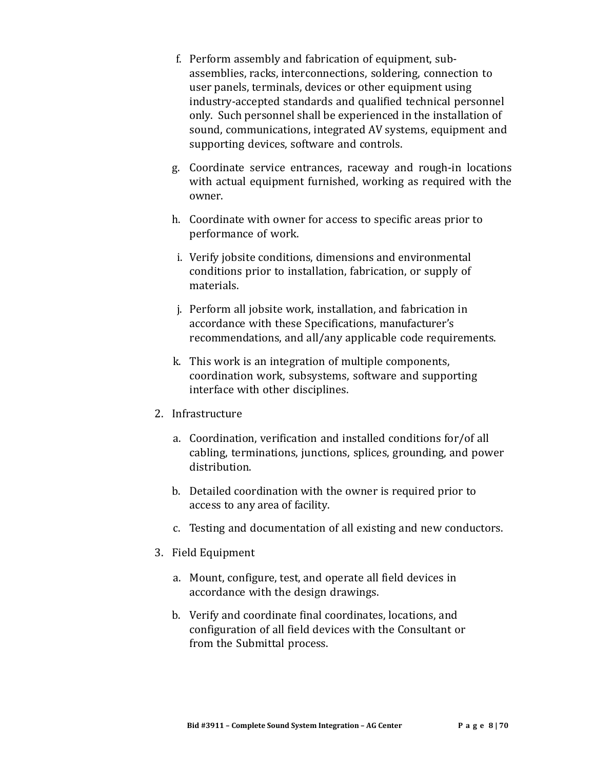- f. Perform assembly and fabrication of equipment, subassemblies, racks, interconnections, soldering, connection to user panels, terminals, devices or other equipment using industry-accepted standards and qualified technical personnel only. Such personnel shall be experienced in the installation of sound, communications, integrated AV systems, equipment and supporting devices, software and controls.
- g. Coordinate service entrances, raceway and rough-in locations with actual equipment furnished, working as required with the owner.
- h. Coordinate with owner for access to specific areas prior to performance of work.
- i. Verify jobsite conditions, dimensions and environmental conditions prior to installation, fabrication, or supply of materials.
- j. Perform all jobsite work, installation, and fabrication in accordance with these Specifications, manufacturer's recommendations, and all/any applicable code requirements.
- k. This work is an integration of multiple components, coordination work, subsystems, software and supporting interface with other disciplines.
- 2. Infrastructure
	- a. Coordination, verification and installed conditions for/of all cabling, terminations, junctions, splices, grounding, and power distribution.
	- b. Detailed coordination with the owner is required prior to access to any area of facility.
	- c. Testing and documentation of all existing and new conductors.
- 3. Field Equipment
	- a. Mount, configure, test, and operate all field devices in accordance with the design drawings.
	- b. Verify and coordinate final coordinates, locations, and configuration of all field devices with the Consultant or from the Submittal process.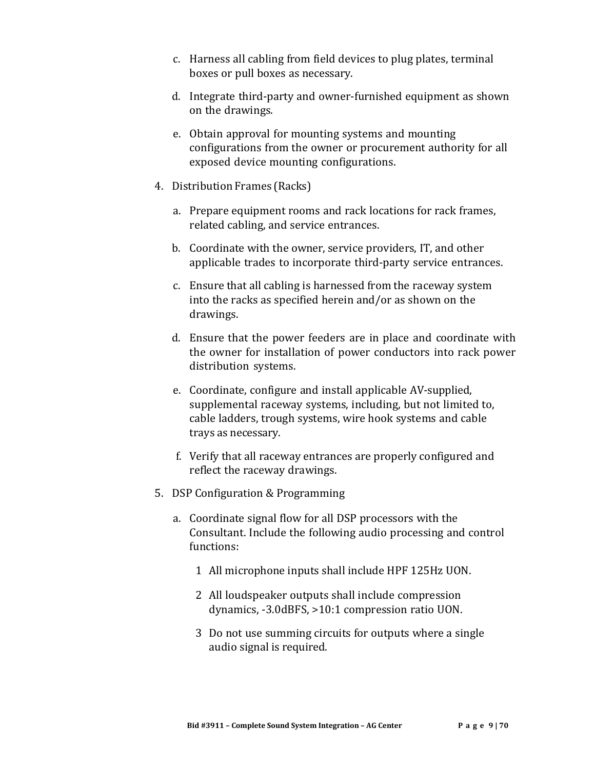- c. Harness all cabling from field devices to plug plates, terminal boxes or pull boxes as necessary.
- d. Integrate third-party and owner-furnished equipment as shown on the drawings.
- e. Obtain approval for mounting systems and mounting configurations from the owner or procurement authority for all exposed device mounting configurations.
- 4. Distribution Frames (Racks)
	- a. Prepare equipment rooms and rack locations for rack frames, related cabling, and service entrances.
	- b. Coordinate with the owner, service providers, IT, and other applicable trades to incorporate third-party service entrances.
	- c. Ensure that all cabling is harnessed from the raceway system into the racks as specified herein and/or as shown on the drawings.
	- d. Ensure that the power feeders are in place and coordinate with the owner for installation of power conductors into rack power distribution systems.
	- e. Coordinate, configure and install applicable AV-supplied, supplemental raceway systems, including, but not limited to, cable ladders, trough systems, wire hook systems and cable trays as necessary.
	- f. Verify that all raceway entrances are properly configured and reflect the raceway drawings.
- 5. DSP Configuration & Programming
	- a. Coordinate signal flow for all DSP processors with the Consultant. Include the following audio processing and control functions:
		- 1 All microphone inputs shall include HPF 125Hz UON.
		- 2 All loudspeaker outputs shall include compression dynamics, -3.0dBFS, >10:1 compression ratio UON.
		- 3 Do not use summing circuits for outputs where a single audio signal is required.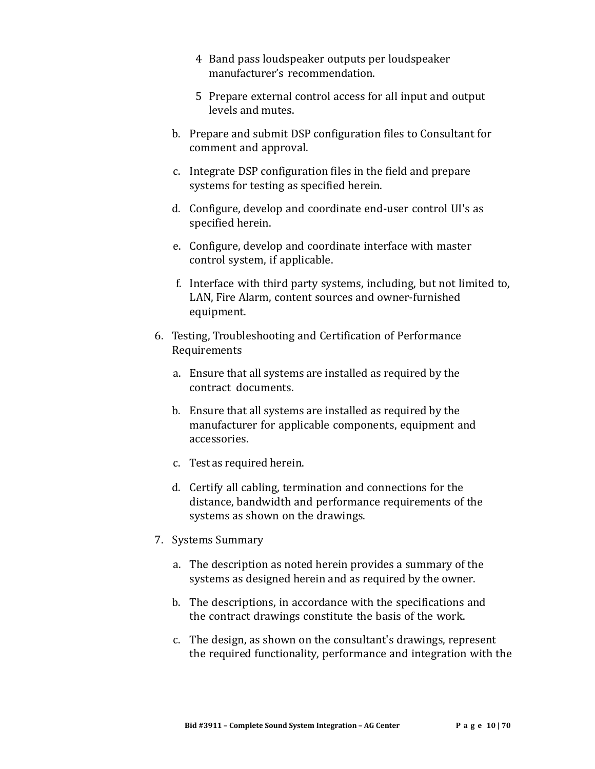- 4 Band pass loudspeaker outputs per loudspeaker manufacturer's recommendation.
- 5 Prepare external control access for all input and output levels and mutes.
- b. Prepare and submit DSP configuration files to Consultant for comment and approval.
- c. Integrate DSP configuration files in the field and prepare systems for testing as specified herein.
- d. Configure, develop and coordinate end-user control UI's as specified herein.
- e. Configure, develop and coordinate interface with master control system, if applicable.
- f. Interface with third party systems, including, but not limited to, LAN, Fire Alarm, content sources and owner-furnished equipment.
- 6. Testing, Troubleshooting and Certification of Performance Requirements
	- a. Ensure that all systems are installed as required by the contract documents.
	- b. Ensure that all systems are installed as required by the manufacturer for applicable components, equipment and accessories.
	- c. Test as required herein.
	- d. Certify all cabling, termination and connections for the distance, bandwidth and performance requirements of the systems as shown on the drawings.
- 7. Systems Summary
	- a. The description as noted herein provides a summary of the systems as designed herein and as required by the owner.
	- b. The descriptions, in accordance with the specifications and the contract drawings constitute the basis of the work.
	- c. The design, as shown on the consultant's drawings, represent the required functionality, performance and integration with the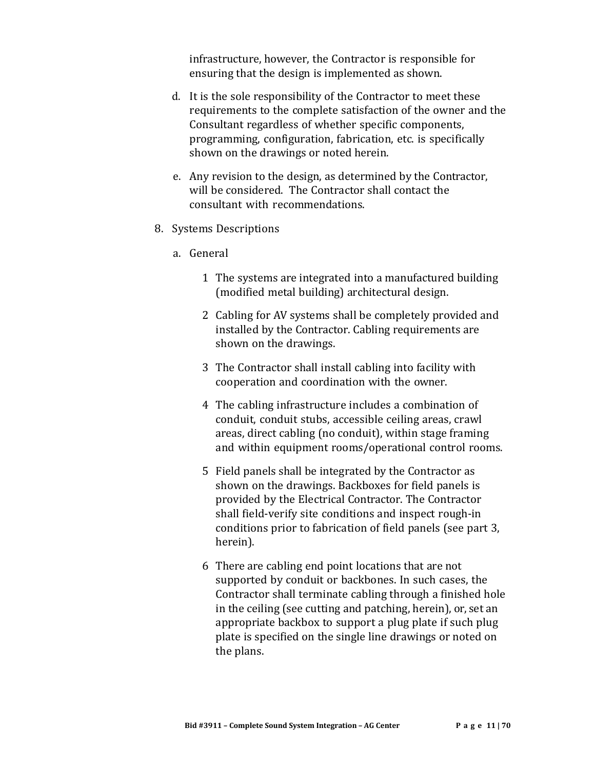infrastructure, however, the Contractor is responsible for ensuring that the design is implemented as shown.

- d. It is the sole responsibility of the Contractor to meet these requirements to the complete satisfaction of the owner and the Consultant regardless of whether specific components, programming, configuration, fabrication, etc. is specifically shown on the drawings or noted herein.
- e. Any revision to the design, as determined by the Contractor, will be considered. The Contractor shall contact the consultant with recommendations.
- 8. Systems Descriptions
	- a. General
		- 1 The systems are integrated into a manufactured building (modified metal building) architectural design.
		- 2 Cabling for AV systems shall be completely provided and installed by the Contractor. Cabling requirements are shown on the drawings.
		- 3 The Contractor shall install cabling into facility with cooperation and coordination with the owner.
		- 4 The cabling infrastructure includes a combination of conduit, conduit stubs, accessible ceiling areas, crawl areas, direct cabling (no conduit), within stage framing and within equipment rooms/operational control rooms.
		- 5 Field panels shall be integrated by the Contractor as shown on the drawings. Backboxes for field panels is provided by the Electrical Contractor. The Contractor shall field-verify site conditions and inspect rough-in conditions prior to fabrication of field panels (see part 3, herein).
		- 6 There are cabling end point locations that are not supported by conduit or backbones. In such cases, the Contractor shall terminate cabling through a finished hole in the ceiling (see cutting and patching, herein), or, set an appropriate backbox to support a plug plate if such plug plate is specified on the single line drawings or noted on the plans.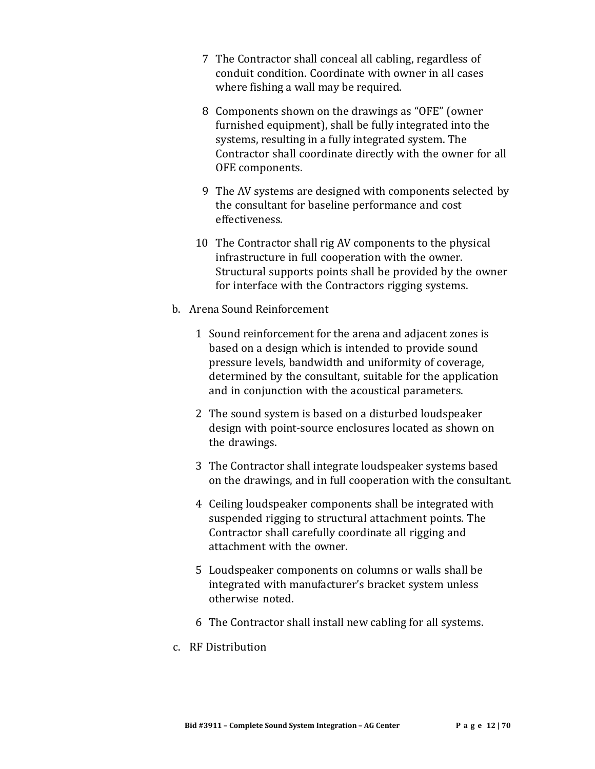- 7 The Contractor shall conceal all cabling, regardless of conduit condition. Coordinate with owner in all cases where fishing a wall may be required.
- 8 Components shown on the drawings as "OFE" (owner furnished equipment), shall be fully integrated into the systems, resulting in a fully integrated system. The Contractor shall coordinate directly with the owner for all OFE components.
- 9 The AV systems are designed with components selected by the consultant for baseline performance and cost effectiveness.
- 10 The Contractor shall rig AV components to the physical infrastructure in full cooperation with the owner. Structural supports points shall be provided by the owner for interface with the Contractors rigging systems.
- b. Arena Sound Reinforcement
	- 1 Sound reinforcement for the arena and adjacent zones is based on a design which is intended to provide sound pressure levels, bandwidth and uniformity of coverage, determined by the consultant, suitable for the application and in conjunction with the acoustical parameters.
	- 2 The sound system is based on a disturbed loudspeaker design with point-source enclosures located as shown on the drawings.
	- 3 The Contractor shall integrate loudspeaker systems based on the drawings, and in full cooperation with the consultant.
	- 4 Ceiling loudspeaker components shall be integrated with suspended rigging to structural attachment points. The Contractor shall carefully coordinate all rigging and attachment with the owner.
	- 5 Loudspeaker components on columns or walls shall be integrated with manufacturer's bracket system unless otherwise noted.
	- 6 The Contractor shall install new cabling for all systems.
- c. RF Distribution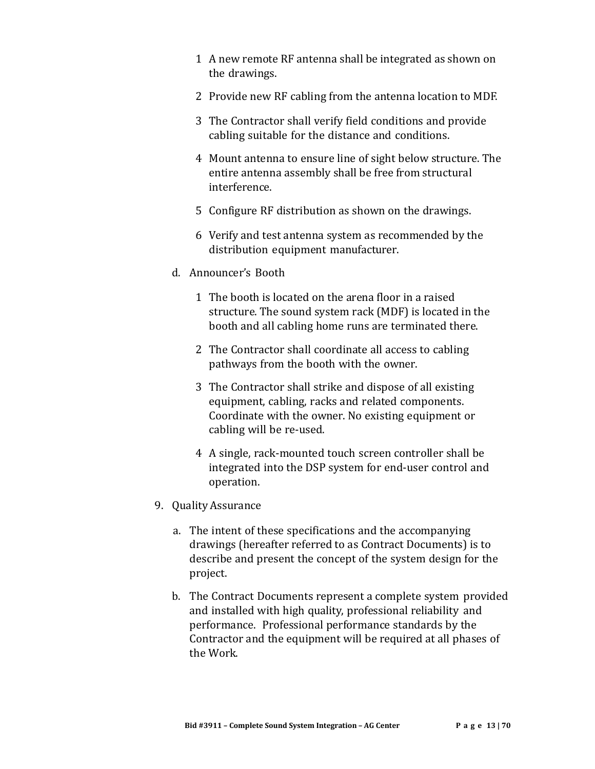- 1 A new remote RF antenna shall be integrated as shown on the drawings.
- 2 Provide new RF cabling from the antenna location to MDF.
- 3 The Contractor shall verify field conditions and provide cabling suitable for the distance and conditions.
- 4 Mount antenna to ensure line of sight below structure. The entire antenna assembly shall be free from structural interference.
- 5 Configure RF distribution as shown on the drawings.
- 6 Verify and test antenna system as recommended by the distribution equipment manufacturer.
- d. Announcer's Booth
	- 1 The booth is located on the arena floor in a raised structure. The sound system rack (MDF) is located in the booth and all cabling home runs are terminated there.
	- 2 The Contractor shall coordinate all access to cabling pathways from the booth with the owner.
	- 3 The Contractor shall strike and dispose of all existing equipment, cabling, racks and related components. Coordinate with the owner. No existing equipment or cabling will be re-used.
	- 4 A single, rack-mounted touch screen controller shall be integrated into the DSP system for end-user control and operation.
- 9. Quality Assurance
	- a. The intent of these specifications and the accompanying drawings (hereafter referred to as Contract Documents) is to describe and present the concept of the system design for the project.
	- b. The Contract Documents represent a complete system provided and installed with high quality, professional reliability and performance. Professional performance standards by the Contractor and the equipment will be required at all phases of the Work.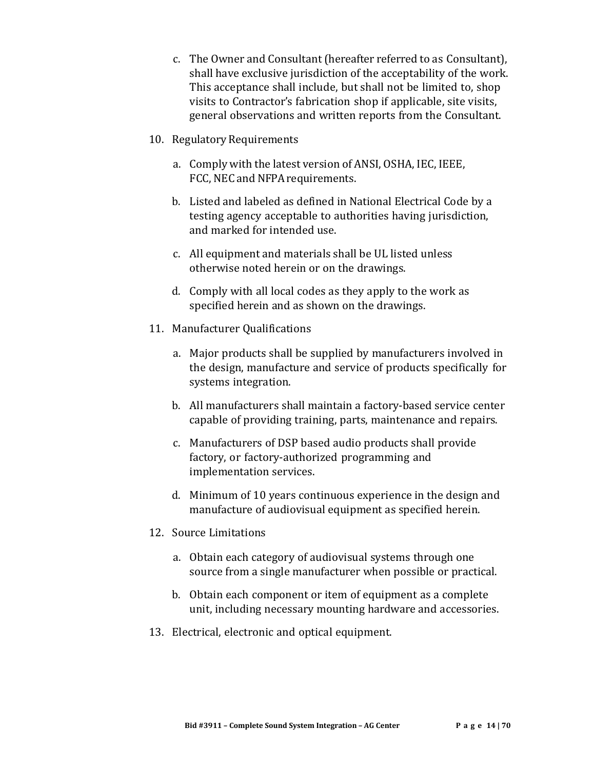- c. The Owner and Consultant (hereafter referred to as Consultant), shall have exclusive jurisdiction of the acceptability of the work. This acceptance shall include, but shall not be limited to, shop visits to Contractor's fabrication shop if applicable, site visits, general observations and written reports from the Consultant.
- 10. Regulatory Requirements
	- a. Comply with the latest version of ANSI, OSHA, IEC, IEEE, FCC, NEC and NFPA requirements.
	- b. Listed and labeled as defined in National Electrical Code by a testing agency acceptable to authorities having jurisdiction, and marked for intended use.
	- c. All equipment and materials shall be UL listed unless otherwise noted herein or on the drawings.
	- d. Comply with all local codes as they apply to the work as specified herein and as shown on the drawings.
- 11. Manufacturer Qualifications
	- a. Major products shall be supplied by manufacturers involved in the design, manufacture and service of products specifically for systems integration.
	- b. All manufacturers shall maintain a factory-based service center capable of providing training, parts, maintenance and repairs.
	- c. Manufacturers of DSP based audio products shall provide factory, or factory-authorized programming and implementation services.
	- d. Minimum of 10 years continuous experience in the design and manufacture of audiovisual equipment as specified herein.
- 12. Source Limitations
	- a. Obtain each category of audiovisual systems through one source from a single manufacturer when possible or practical.
	- b. Obtain each component or item of equipment as a complete unit, including necessary mounting hardware and accessories.
- 13. Electrical, electronic and optical equipment.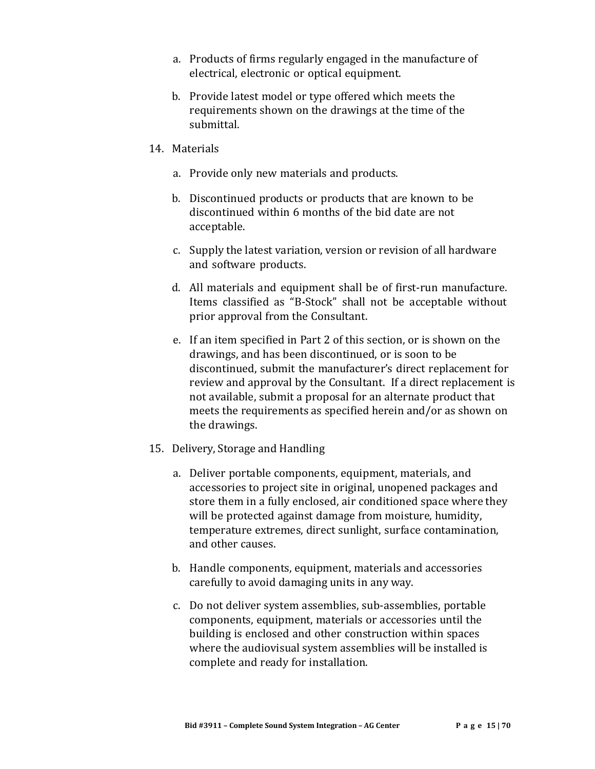- a. Products of firms regularly engaged in the manufacture of electrical, electronic or optical equipment.
- b. Provide latest model or type offered which meets the requirements shown on the drawings at the time of the submittal.
- 14. Materials
	- a. Provide only new materials and products.
	- b. Discontinued products or products that are known to be discontinued within 6 months of the bid date are not acceptable.
	- c. Supply the latest variation, version or revision of all hardware and software products.
	- d. All materials and equipment shall be of first-run manufacture. Items classified as "B-Stock" shall not be acceptable without prior approval from the Consultant.
	- e. If an item specified in Part 2 of this section, or is shown on the drawings, and has been discontinued, or is soon to be discontinued, submit the manufacturer's direct replacement for review and approval by the Consultant. If a direct replacement is not available, submit a proposal for an alternate product that meets the requirements as specified herein and/or as shown on the drawings.
- 15. Delivery, Storage and Handling
	- a. Deliver portable components, equipment, materials, and accessories to project site in original, unopened packages and store them in a fully enclosed, air conditioned space where they will be protected against damage from moisture, humidity, temperature extremes, direct sunlight, surface contamination, and other causes.
	- b. Handle components, equipment, materials and accessories carefully to avoid damaging units in any way.
	- c. Do not deliver system assemblies, sub-assemblies, portable components, equipment, materials or accessories until the building is enclosed and other construction within spaces where the audiovisual system assemblies will be installed is complete and ready for installation.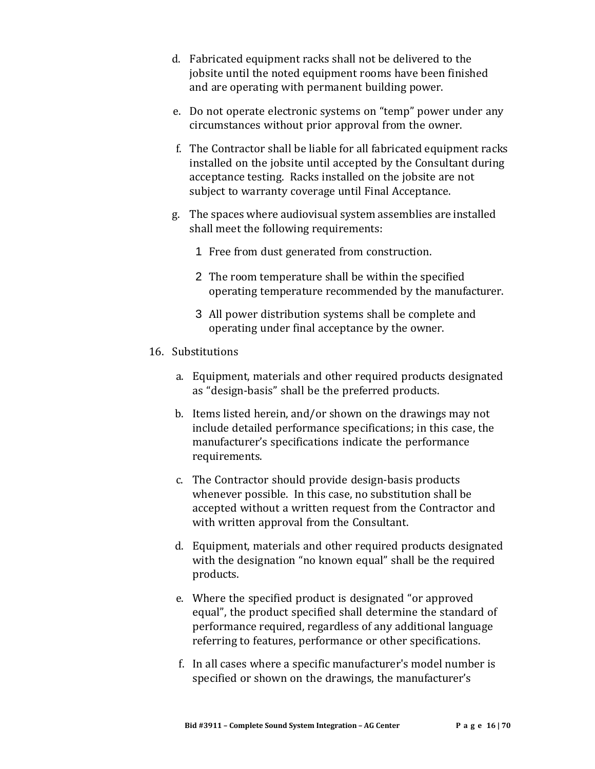- d. Fabricated equipment racks shall not be delivered to the jobsite until the noted equipment rooms have been finished and are operating with permanent building power.
- e. Do not operate electronic systems on "temp" power under any circumstances without prior approval from the owner.
- f. The Contractor shall be liable for all fabricated equipment racks installed on the jobsite until accepted by the Consultant during acceptance testing. Racks installed on the jobsite are not subject to warranty coverage until Final Acceptance.
- g. The spaces where audiovisual system assemblies are installed shall meet the following requirements:
	- 1 Free from dust generated from construction.
	- 2 The room temperature shall be within the specified operating temperature recommended by the manufacturer.
	- 3 All power distribution systems shall be complete and operating under final acceptance by the owner.

#### 16. Substitutions

- a. Equipment, materials and other required products designated as "design-basis" shall be the preferred products.
- b. Items listed herein, and/or shown on the drawings may not include detailed performance specifications; in this case, the manufacturer's specifications indicate the performance requirements.
- c. The Contractor should provide design-basis products whenever possible. In this case, no substitution shall be accepted without a written request from the Contractor and with written approval from the Consultant.
- d. Equipment, materials and other required products designated with the designation "no known equal" shall be the required products.
- e. Where the specified product is designated "or approved equal", the product specified shall determine the standard of performance required, regardless of any additional language referring to features, performance or other specifications.
- f. In all cases where a specific manufacturer's model number is specified or shown on the drawings, the manufacturer's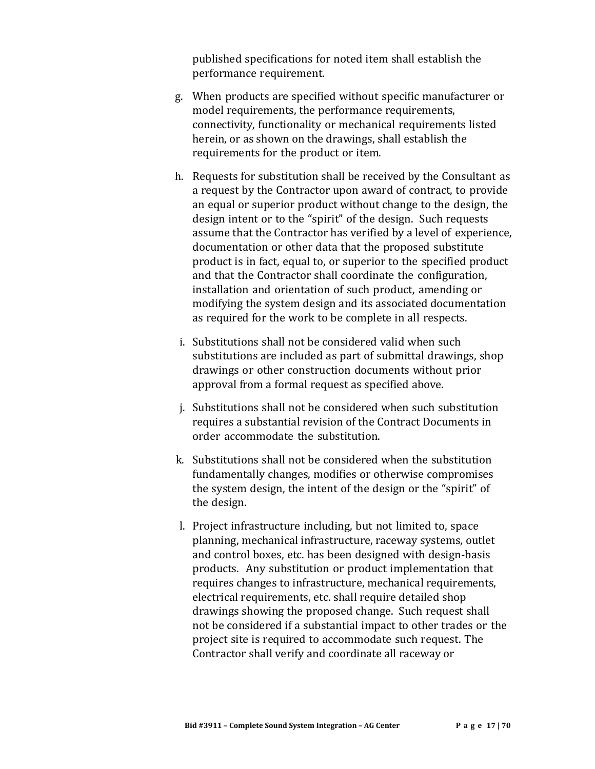published specifications for noted item shall establish the performance requirement.

- g. When products are specified without specific manufacturer or model requirements, the performance requirements, connectivity, functionality or mechanical requirements listed herein, or as shown on the drawings, shall establish the requirements for the product or item.
- h. Requests for substitution shall be received by the Consultant as a request by the Contractor upon award of contract, to provide an equal or superior product without change to the design, the design intent or to the "spirit" of the design. Such requests assume that the Contractor has verified by a level of experience, documentation or other data that the proposed substitute product is in fact, equal to, or superior to the specified product and that the Contractor shall coordinate the configuration, installation and orientation of such product, amending or modifying the system design and its associated documentation as required for the work to be complete in all respects.
- i. Substitutions shall not be considered valid when such substitutions are included as part of submittal drawings, shop drawings or other construction documents without prior approval from a formal request as specified above.
- j. Substitutions shall not be considered when such substitution requires a substantial revision of the Contract Documents in order accommodate the substitution.
- k. Substitutions shall not be considered when the substitution fundamentally changes, modifies or otherwise compromises the system design, the intent of the design or the "spirit" of the design.
- l. Project infrastructure including, but not limited to, space planning, mechanical infrastructure, raceway systems, outlet and control boxes, etc. has been designed with design-basis products. Any substitution or product implementation that requires changes to infrastructure, mechanical requirements, electrical requirements, etc. shall require detailed shop drawings showing the proposed change. Such request shall not be considered if a substantial impact to other trades or the project site is required to accommodate such request. The Contractor shall verify and coordinate all raceway or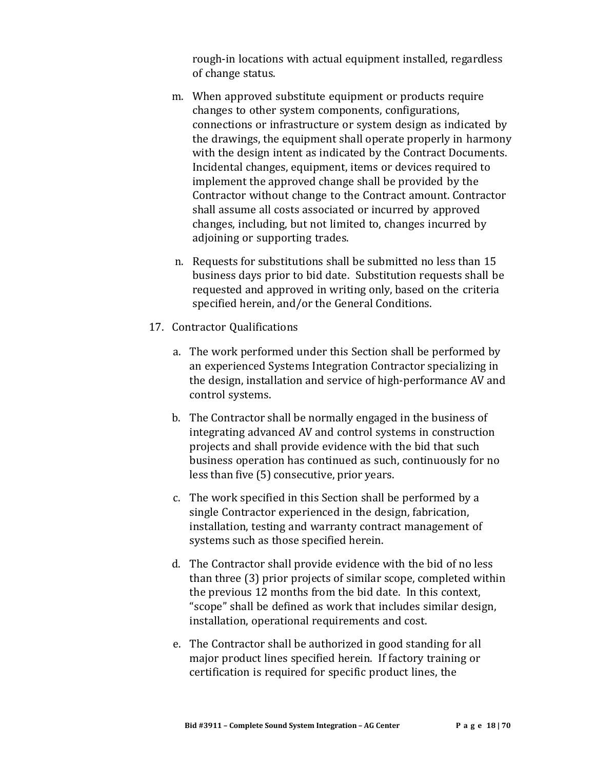rough-in locations with actual equipment installed, regardless of change status.

- m. When approved substitute equipment or products require changes to other system components, configurations, connections or infrastructure or system design as indicated by the drawings, the equipment shall operate properly in harmony with the design intent as indicated by the Contract Documents. Incidental changes, equipment, items or devices required to implement the approved change shall be provided by the Contractor without change to the Contract amount. Contractor shall assume all costs associated or incurred by approved changes, including, but not limited to, changes incurred by adjoining or supporting trades.
- n. Requests for substitutions shall be submitted no less than 15 business days prior to bid date. Substitution requests shall be requested and approved in writing only, based on the criteria specified herein, and/or the General Conditions.
- 17. Contractor Qualifications
	- a. The work performed under this Section shall be performed by an experienced Systems Integration Contractor specializing in the design, installation and service of high-performance AV and control systems.
	- b. The Contractor shall be normally engaged in the business of integrating advanced AV and control systems in construction projects and shall provide evidence with the bid that such business operation has continued as such, continuously for no less than five (5) consecutive, prior years.
	- c. The work specified in this Section shall be performed by a single Contractor experienced in the design, fabrication, installation, testing and warranty contract management of systems such as those specified herein.
	- d. The Contractor shall provide evidence with the bid of no less than three (3) prior projects of similar scope, completed within the previous 12 months from the bid date. In this context, "scope" shall be defined as work that includes similar design, installation, operational requirements and cost.
	- e. The Contractor shall be authorized in good standing for all major product lines specified herein. If factory training or certification is required for specific product lines, the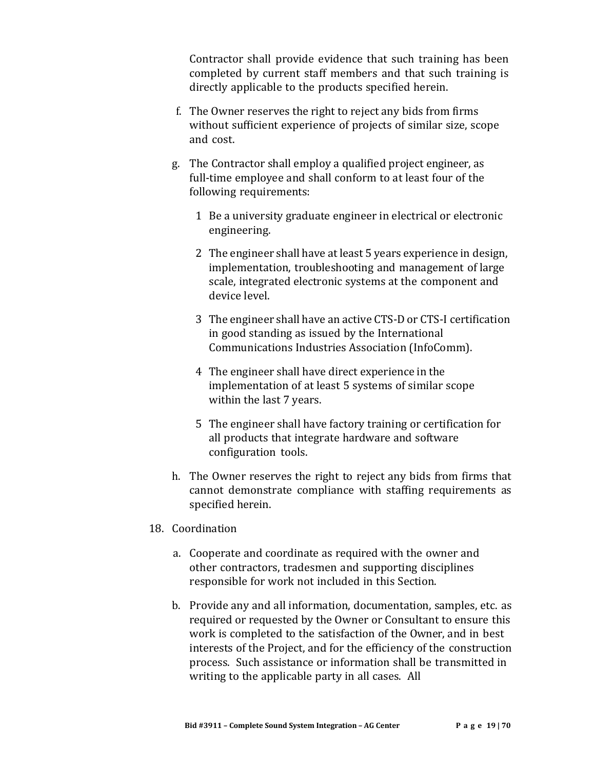Contractor shall provide evidence that such training has been completed by current staff members and that such training is directly applicable to the products specified herein.

- f. The Owner reserves the right to reject any bids from firms without sufficient experience of projects of similar size, scope and cost.
- g. The Contractor shall employ a qualified project engineer, as full-time employee and shall conform to at least four of the following requirements:
	- 1 Be a university graduate engineer in electrical or electronic engineering.
	- 2 The engineer shall have at least 5 years experience in design, implementation, troubleshooting and management of large scale, integrated electronic systems at the component and device level.
	- 3 The engineer shall have an active CTS-D or CTS-I certification in good standing as issued by the International Communications Industries Association (InfoComm).
	- 4 The engineer shall have direct experience in the implementation of at least 5 systems of similar scope within the last 7 years.
	- 5 The engineer shall have factory training or certification for all products that integrate hardware and software configuration tools.
- h. The Owner reserves the right to reject any bids from firms that cannot demonstrate compliance with staffing requirements as specified herein.
- 18. Coordination
	- a. Cooperate and coordinate as required with the owner and other contractors, tradesmen and supporting disciplines responsible for work not included in this Section.
	- b. Provide any and all information, documentation, samples, etc. as required or requested by the Owner or Consultant to ensure this work is completed to the satisfaction of the Owner, and in best interests of the Project, and for the efficiency of the construction process. Such assistance or information shall be transmitted in writing to the applicable party in all cases. All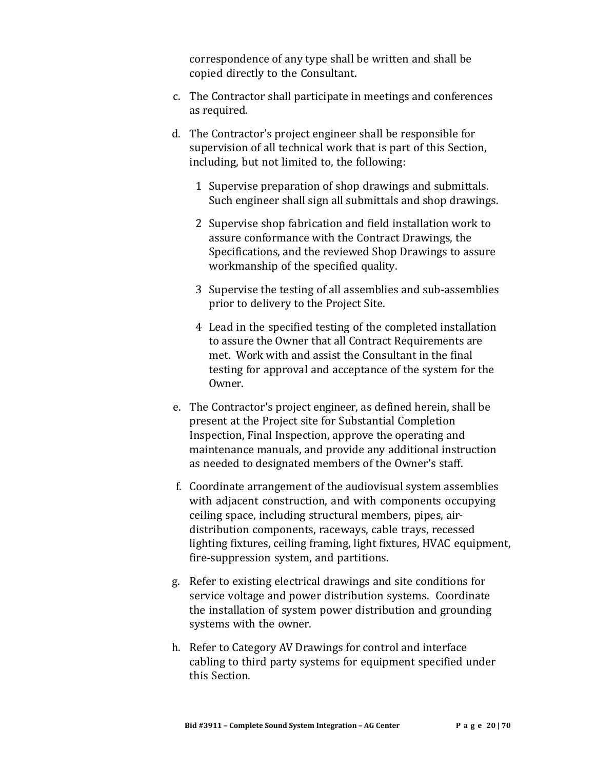correspondence of any type shall be written and shall be copied directly to the Consultant.

- c. The Contractor shall participate in meetings and conferences as required.
- d. The Contractor's project engineer shall be responsible for supervision of all technical work that is part of this Section, including, but not limited to, the following:
	- 1 Supervise preparation of shop drawings and submittals. Such engineer shall sign all submittals and shop drawings.
	- 2 Supervise shop fabrication and field installation work to assure conformance with the Contract Drawings, the Specifications, and the reviewed Shop Drawings to assure workmanship of the specified quality.
	- 3 Supervise the testing of all assemblies and sub-assemblies prior to delivery to the Project Site.
	- 4 Lead in the specified testing of the completed installation to assure the Owner that all Contract Requirements are met. Work with and assist the Consultant in the final testing for approval and acceptance of the system for the Owner.
- e. The Contractor's project engineer, as defined herein, shall be present at the Project site for Substantial Completion Inspection, Final Inspection, approve the operating and maintenance manuals, and provide any additional instruction as needed to designated members of the Owner's staff.
- f. Coordinate arrangement of the audiovisual system assemblies with adjacent construction, and with components occupying ceiling space, including structural members, pipes, airdistribution components, raceways, cable trays, recessed lighting fixtures, ceiling framing, light fixtures, HVAC equipment, fire-suppression system, and partitions.
- g. Refer to existing electrical drawings and site conditions for service voltage and power distribution systems. Coordinate the installation of system power distribution and grounding systems with the owner.
- h. Refer to Category AV Drawings for control and interface cabling to third party systems for equipment specified under this Section.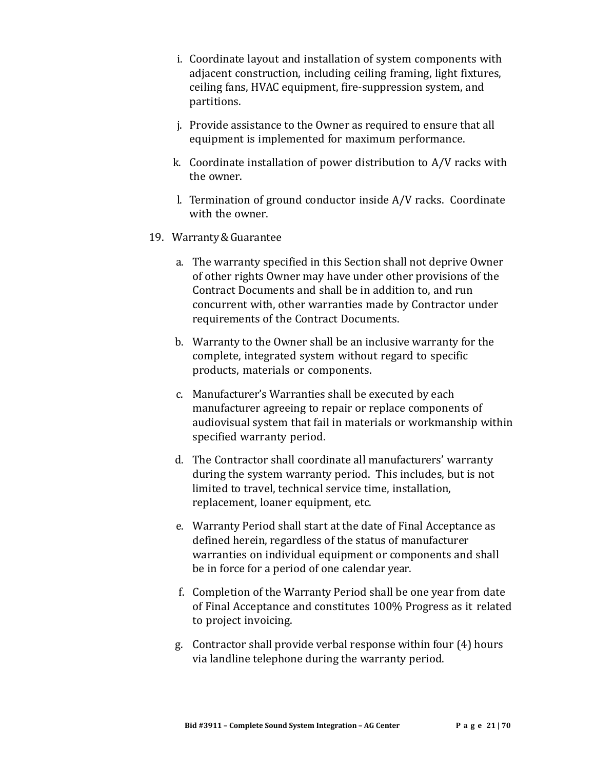- i. Coordinate layout and installation of system components with adjacent construction, including ceiling framing, light fixtures, ceiling fans, HVAC equipment, fire-suppression system, and partitions.
- j. Provide assistance to the Owner as required to ensure that all equipment is implemented for maximum performance.
- k. Coordinate installation of power distribution to A/V racks with the owner.
- l. Termination of ground conductor inside A/V racks. Coordinate with the owner.
- 19. Warranty&Guarantee
	- a. The warranty specified in this Section shall not deprive Owner of other rights Owner may have under other provisions of the Contract Documents and shall be in addition to, and run concurrent with, other warranties made by Contractor under requirements of the Contract Documents.
	- b. Warranty to the Owner shall be an inclusive warranty for the complete, integrated system without regard to specific products, materials or components.
	- c. Manufacturer's Warranties shall be executed by each manufacturer agreeing to repair or replace components of audiovisual system that fail in materials or workmanship within specified warranty period.
	- d. The Contractor shall coordinate all manufacturers' warranty during the system warranty period. This includes, but is not limited to travel, technical service time, installation, replacement, loaner equipment, etc.
	- e. Warranty Period shall start at the date of Final Acceptance as defined herein, regardless of the status of manufacturer warranties on individual equipment or components and shall be in force for a period of one calendar year.
	- f. Completion of the Warranty Period shall be one year from date of Final Acceptance and constitutes 100% Progress as it related to project invoicing.
	- g. Contractor shall provide verbal response within four (4) hours via landline telephone during the warranty period.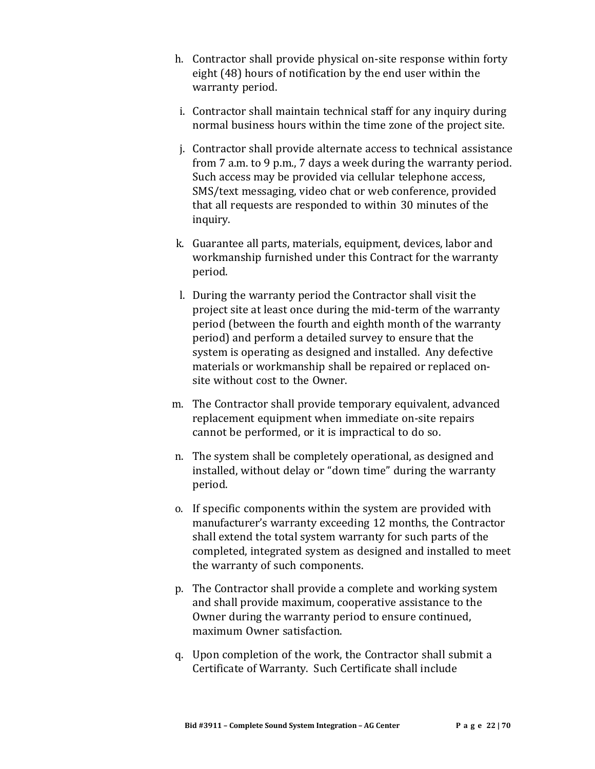- h. Contractor shall provide physical on-site response within forty eight (48) hours of notification by the end user within the warranty period.
- i. Contractor shall maintain technical staff for any inquiry during normal business hours within the time zone of the project site.
- j. Contractor shall provide alternate access to technical assistance from 7 a.m. to 9 p.m., 7 days a week during the warranty period. Such access may be provided via cellular telephone access, SMS/text messaging, video chat or web conference, provided that all requests are responded to within 30 minutes of the inquiry.
- k. Guarantee all parts, materials, equipment, devices, labor and workmanship furnished under this Contract for the warranty period.
- l. During the warranty period the Contractor shall visit the project site at least once during the mid-term of the warranty period (between the fourth and eighth month of the warranty period) and perform a detailed survey to ensure that the system is operating as designed and installed. Any defective materials or workmanship shall be repaired or replaced onsite without cost to the Owner.
- m. The Contractor shall provide temporary equivalent, advanced replacement equipment when immediate on-site repairs cannot be performed, or it is impractical to do so.
- n. The system shall be completely operational, as designed and installed, without delay or "down time" during the warranty period.
- o. If specific components within the system are provided with manufacturer's warranty exceeding 12 months, the Contractor shall extend the total system warranty for such parts of the completed, integrated system as designed and installed to meet the warranty of such components.
- p. The Contractor shall provide a complete and working system and shall provide maximum, cooperative assistance to the Owner during the warranty period to ensure continued, maximum Owner satisfaction.
- q. Upon completion of the work, the Contractor shall submit a Certificate of Warranty. Such Certificate shall include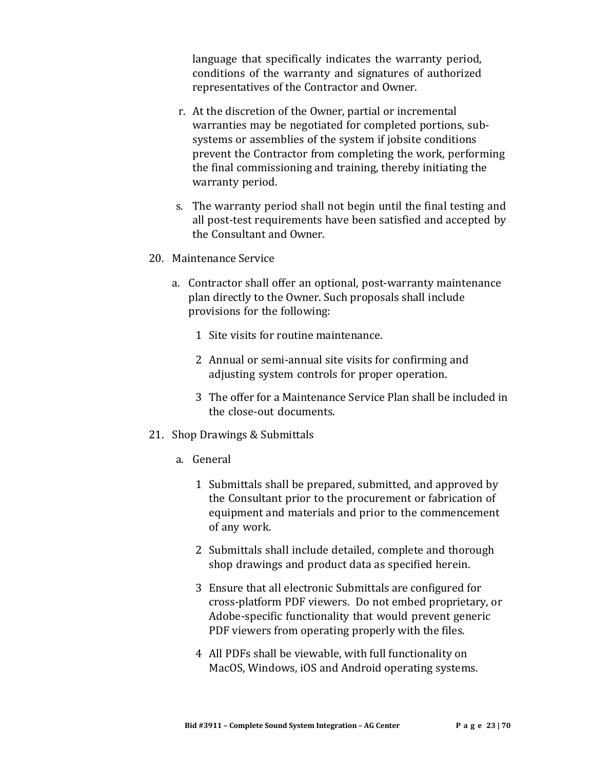language that specifically indicates the warranty period, conditions of the warranty and signatures of authorized representatives of the Contractor and Owner.

- r. At the discretion of the Owner, partial or incremental warranties may be negotiated for completed portions, subsystems or assemblies of the system if jobsite conditions prevent the Contractor from completing the work, performing the final commissioning and training, thereby initiating the warranty period.
- s. The warranty period shall not begin until the final testing and all post-test requirements have been satisfied and accepted by the Consultant and Owner.
- 20. Maintenance Service
	- a. Contractor shall offer an optional, post-warranty maintenance plan directly to the Owner. Such proposals shall include provisions for the following:
		- 1 Site visits for routine maintenance.
		- 2 Annual or semi-annual site visits for confirming and adjusting system controls for proper operation.
		- 3 The offer for a Maintenance Service Plan shall be included in the close-out documents.
- 21. Shop Drawings & Submittals
	- a. General
		- 1 Submittals shall be prepared, submitted, and approved by the Consultant prior to the procurement or fabrication of equipment and materials and prior to the commencement of any work.
		- 2 Submittals shall include detailed, complete and thorough shop drawings and product data as specified herein.
		- 3 Ensure that all electronic Submittals are configured for cross-platform PDF viewers. Do not embed proprietary, or Adobe-specific functionality that would prevent generic PDF viewers from operating properly with the files.
		- 4 All PDFs shall be viewable, with full functionality on MacOS, Windows, iOS and Android operating systems.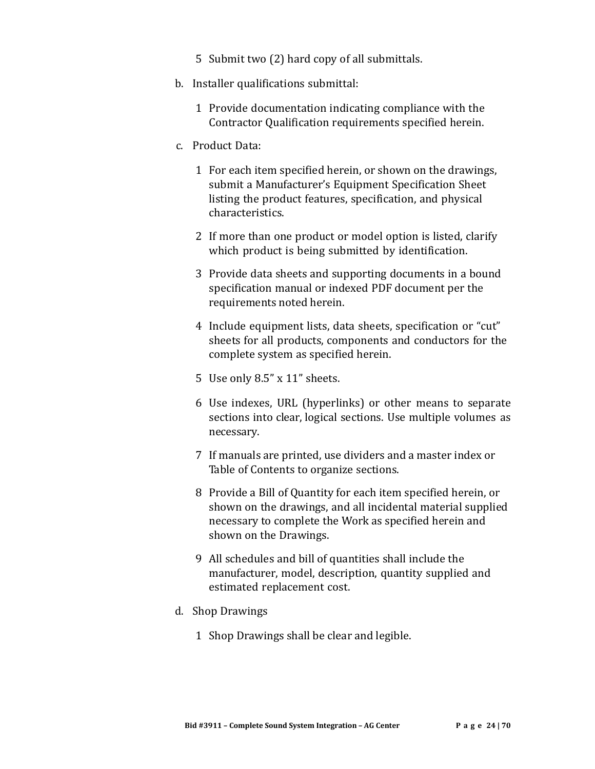- 5 Submit two (2) hard copy of all submittals.
- b. Installer qualifications submittal:
	- 1 Provide documentation indicating compliance with the Contractor Qualification requirements specified herein.
- c. Product Data:
	- 1 For each item specified herein, or shown on the drawings, submit a Manufacturer's Equipment Specification Sheet listing the product features, specification, and physical characteristics.
	- 2 If more than one product or model option is listed, clarify which product is being submitted by identification.
	- 3 Provide data sheets and supporting documents in a bound specification manual or indexed PDF document per the requirements noted herein.
	- 4 Include equipment lists, data sheets, specification or "cut" sheets for all products, components and conductors for the complete system as specified herein.
	- 5 Use only 8.5" x 11" sheets.
	- 6 Use indexes, URL (hyperlinks) or other means to separate sections into clear, logical sections. Use multiple volumes as necessary.
	- 7 If manuals are printed, use dividers and a master index or Table of Contents to organize sections.
	- 8 Provide a Bill of Quantity for each item specified herein, or shown on the drawings, and all incidental material supplied necessary to complete the Work as specified herein and shown on the Drawings.
	- 9 All schedules and bill of quantities shall include the manufacturer, model, description, quantity supplied and estimated replacement cost.
- d. Shop Drawings
	- 1 Shop Drawings shall be clear and legible.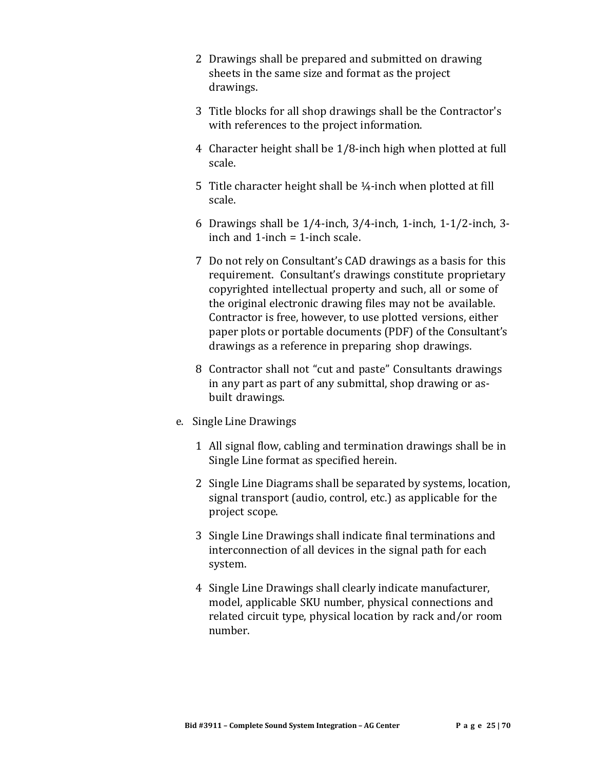- 2 Drawings shall be prepared and submitted on drawing sheets in the same size and format as the project drawings.
- 3 Title blocks for all shop drawings shall be the Contractor's with references to the project information.
- 4 Character height shall be 1/8-inch high when plotted at full scale.
- 5 Title character height shall be ¼-inch when plotted at fill scale.
- 6 Drawings shall be 1/4-inch, 3/4-inch, 1-inch, 1-1/2-inch, 3 inch and  $1$ -inch  $= 1$ -inch scale.
- 7 Do not rely on Consultant's CAD drawings as a basis for this requirement. Consultant's drawings constitute proprietary copyrighted intellectual property and such, all or some of the original electronic drawing files may not be available. Contractor is free, however, to use plotted versions, either paper plots or portable documents (PDF) of the Consultant's drawings as a reference in preparing shop drawings.
- 8 Contractor shall not "cut and paste" Consultants drawings in any part as part of any submittal, shop drawing or asbuilt drawings.
- e. Single Line Drawings
	- 1 All signal flow, cabling and termination drawings shall be in Single Line format as specified herein.
	- 2 Single Line Diagrams shall be separated by systems, location, signal transport (audio, control, etc.) as applicable for the project scope.
	- 3 Single Line Drawings shall indicate final terminations and interconnection of all devices in the signal path for each system.
	- 4 Single Line Drawings shall clearly indicate manufacturer, model, applicable SKU number, physical connections and related circuit type, physical location by rack and/or room number.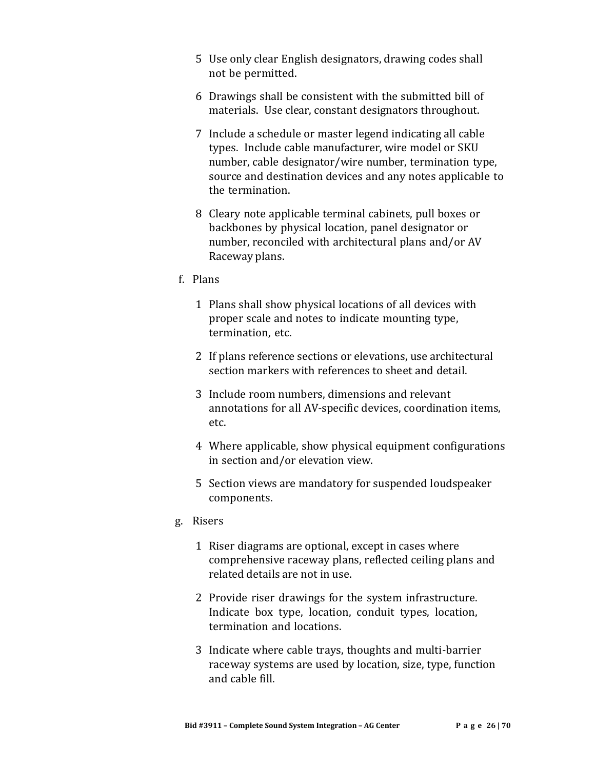- 5 Use only clear English designators, drawing codes shall not be permitted.
- 6 Drawings shall be consistent with the submitted bill of materials. Use clear, constant designators throughout.
- 7 Include a schedule or master legend indicating all cable types. Include cable manufacturer, wire model or SKU number, cable designator/wire number, termination type, source and destination devices and any notes applicable to the termination.
- 8 Cleary note applicable terminal cabinets, pull boxes or backbones by physical location, panel designator or number, reconciled with architectural plans and/or AV Raceway plans.
- f. Plans
	- 1 Plans shall show physical locations of all devices with proper scale and notes to indicate mounting type, termination, etc.
	- 2 If plans reference sections or elevations, use architectural section markers with references to sheet and detail.
	- 3 Include room numbers, dimensions and relevant annotations for all AV-specific devices, coordination items, etc.
	- 4 Where applicable, show physical equipment configurations in section and/or elevation view.
	- 5 Section views are mandatory for suspended loudspeaker components.
- g. Risers
	- 1 Riser diagrams are optional, except in cases where comprehensive raceway plans, reflected ceiling plans and related details are not in use.
	- 2 Provide riser drawings for the system infrastructure. Indicate box type, location, conduit types, location, termination and locations.
	- 3 Indicate where cable trays, thoughts and multi-barrier raceway systems are used by location, size, type, function and cable fill.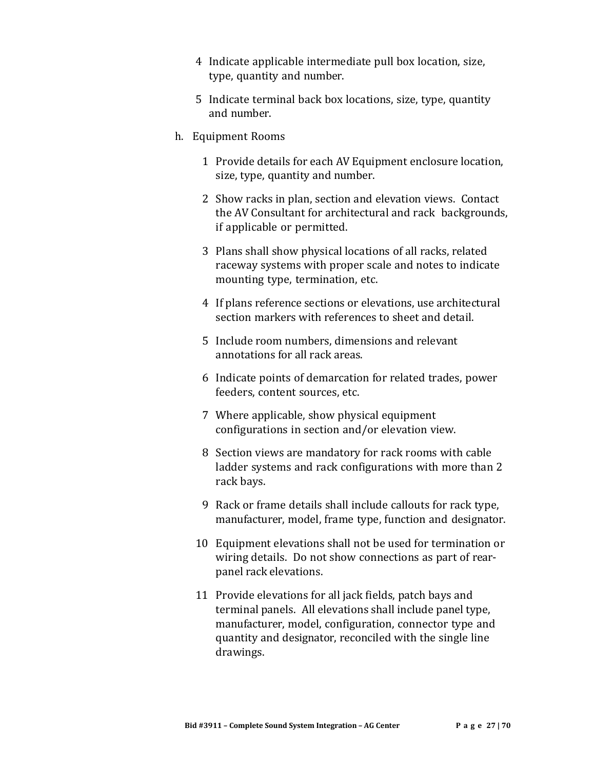- 4 Indicate applicable intermediate pull box location, size, type, quantity and number.
- 5 Indicate terminal back box locations, size, type, quantity and number.
- h. Equipment Rooms
	- 1 Provide details for each AV Equipment enclosure location, size, type, quantity and number.
	- 2 Show racks in plan, section and elevation views. Contact the AV Consultant for architectural and rack backgrounds, if applicable or permitted.
	- 3 Plans shall show physical locations of all racks, related raceway systems with proper scale and notes to indicate mounting type, termination, etc.
	- 4 If plans reference sections or elevations, use architectural section markers with references to sheet and detail.
	- 5 Include room numbers, dimensions and relevant annotations for all rack areas.
	- 6 Indicate points of demarcation for related trades, power feeders, content sources, etc.
	- 7 Where applicable, show physical equipment configurations in section and/or elevation view.
	- 8 Section views are mandatory for rack rooms with cable ladder systems and rack configurations with more than 2 rack bays.
	- 9 Rack or frame details shall include callouts for rack type, manufacturer, model, frame type, function and designator.
	- 10 Equipment elevations shall not be used for termination or wiring details. Do not show connections as part of rearpanel rack elevations.
	- 11 Provide elevations for all jack fields, patch bays and terminal panels. All elevations shall include panel type, manufacturer, model, configuration, connector type and quantity and designator, reconciled with the single line drawings.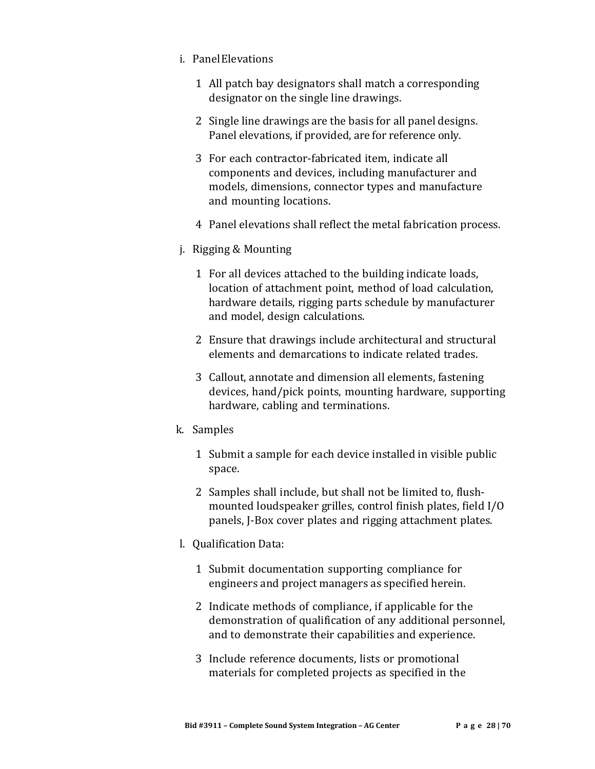- i. PanelElevations
	- 1 All patch bay designators shall match a corresponding designator on the single line drawings.
	- 2 Single line drawings are the basis for all panel designs. Panel elevations, if provided, are for reference only.
	- 3 For each contractor-fabricated item, indicate all components and devices, including manufacturer and models, dimensions, connector types and manufacture and mounting locations.
	- 4 Panel elevations shall reflect the metal fabrication process.
- j. Rigging & Mounting
	- 1 For all devices attached to the building indicate loads, location of attachment point, method of load calculation, hardware details, rigging parts schedule by manufacturer and model, design calculations.
	- 2 Ensure that drawings include architectural and structural elements and demarcations to indicate related trades.
	- 3 Callout, annotate and dimension all elements, fastening devices, hand/pick points, mounting hardware, supporting hardware, cabling and terminations.
- k. Samples
	- 1 Submit a sample for each device installed in visible public space.
	- 2 Samples shall include, but shall not be limited to, flushmounted loudspeaker grilles, control finish plates, field I/O panels, J-Box cover plates and rigging attachment plates.
- l. Qualification Data:
	- 1 Submit documentation supporting compliance for engineers and project managers as specified herein.
	- 2 Indicate methods of compliance, if applicable for the demonstration of qualification of any additional personnel, and to demonstrate their capabilities and experience.
	- 3 Include reference documents, lists or promotional materials for completed projects as specified in the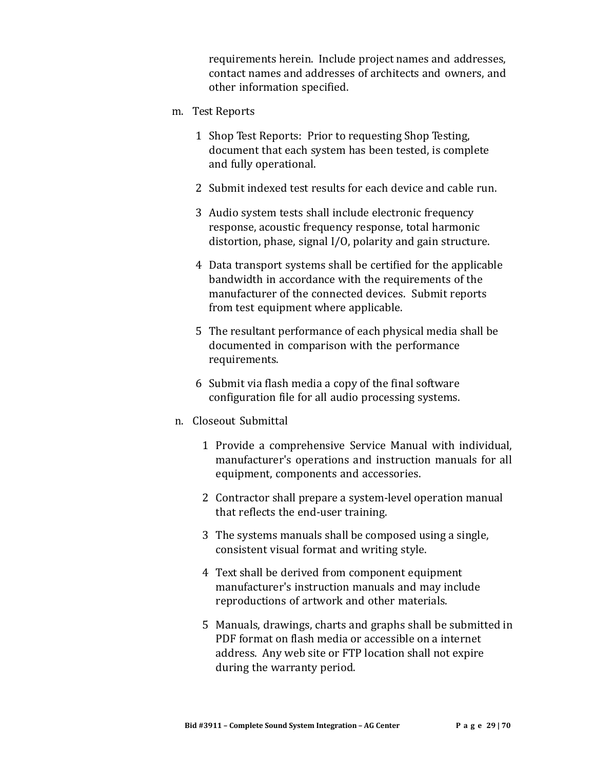requirements herein. Include project names and addresses, contact names and addresses of architects and owners, and other information specified.

- m. Test Reports
	- 1 Shop Test Reports: Prior to requesting Shop Testing, document that each system has been tested, is complete and fully operational.
	- 2 Submit indexed test results for each device and cable run.
	- 3 Audio system tests shall include electronic frequency response, acoustic frequency response, total harmonic distortion, phase, signal I/O, polarity and gain structure.
	- 4 Data transport systems shall be certified for the applicable bandwidth in accordance with the requirements of the manufacturer of the connected devices. Submit reports from test equipment where applicable.
	- 5 The resultant performance of each physical media shall be documented in comparison with the performance requirements.
	- 6 Submit via flash media a copy of the final software configuration file for all audio processing systems.
- n. Closeout Submittal
	- 1 Provide a comprehensive Service Manual with individual, manufacturer's operations and instruction manuals for all equipment, components and accessories.
	- 2 Contractor shall prepare a system-level operation manual that reflects the end-user training.
	- 3 The systems manuals shall be composed using a single, consistent visual format and writing style.
	- 4 Text shall be derived from component equipment manufacturer's instruction manuals and may include reproductions of artwork and other materials.
	- 5 Manuals, drawings, charts and graphs shall be submitted in PDF format on flash media or accessible on a internet address. Any web site or FTP location shall not expire during the warranty period.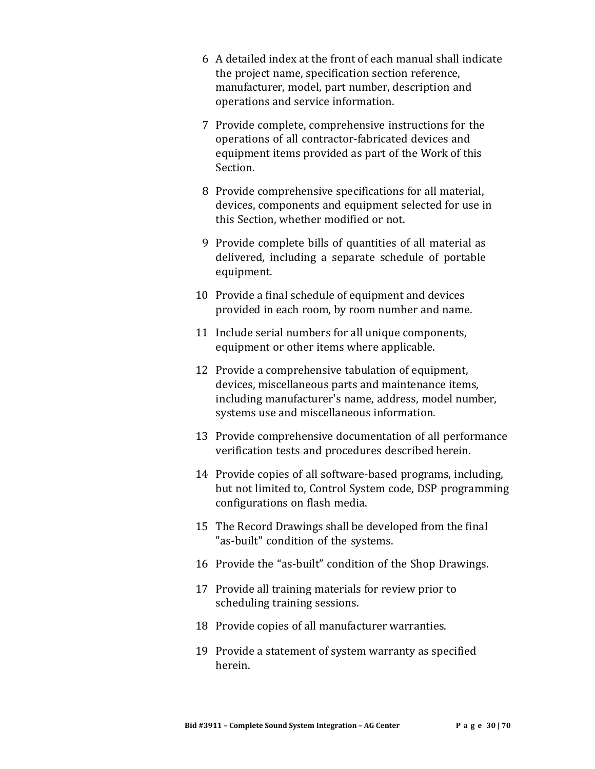- 6 A detailed index at the front of each manual shall indicate the project name, specification section reference, manufacturer, model, part number, description and operations and service information.
- 7 Provide complete, comprehensive instructions for the operations of all contractor-fabricated devices and equipment items provided as part of the Work of this Section.
- 8 Provide comprehensive specifications for all material, devices, components and equipment selected for use in this Section, whether modified or not.
- 9 Provide complete bills of quantities of all material as delivered, including a separate schedule of portable equipment.
- 10 Provide a final schedule of equipment and devices provided in each room, by room number and name.
- 11 Include serial numbers for all unique components, equipment or other items where applicable.
- 12 Provide a comprehensive tabulation of equipment, devices, miscellaneous parts and maintenance items, including manufacturer's name, address, model number, systems use and miscellaneous information.
- 13 Provide comprehensive documentation of all performance verification tests and procedures described herein.
- 14 Provide copies of all software-based programs, including, but not limited to, Control System code, DSP programming configurations on flash media.
- 15 The Record Drawings shall be developed from the final "as-built" condition of the systems.
- 16 Provide the "as-built" condition of the Shop Drawings.
- 17 Provide all training materials for review prior to scheduling training sessions.
- 18 Provide copies of all manufacturer warranties.
- 19 Provide a statement of system warranty as specified herein.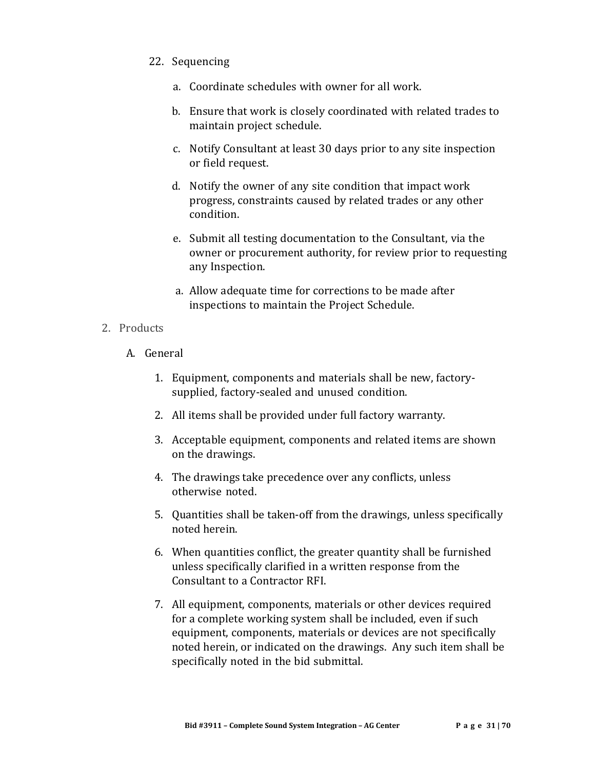- 22. Sequencing
	- a. Coordinate schedules with owner for all work.
	- b. Ensure that work is closely coordinated with related trades to maintain project schedule.
	- c. Notify Consultant at least 30 days prior to any site inspection or field request.
	- d. Notify the owner of any site condition that impact work progress, constraints caused by related trades or any other condition.
	- e. Submit all testing documentation to the Consultant, via the owner or procurement authority, for review prior to requesting any Inspection.
	- a. Allow adequate time for corrections to be made after inspections to maintain the Project Schedule.

#### 2. Products

- A. General
	- 1. Equipment, components and materials shall be new, factorysupplied, factory-sealed and unused condition.
	- 2. All items shall be provided under full factory warranty.
	- 3. Acceptable equipment, components and related items are shown on the drawings.
	- 4. The drawings take precedence over any conflicts, unless otherwise noted.
	- 5. Quantities shall be taken-off from the drawings, unless specifically noted herein.
	- 6. When quantities conflict, the greater quantity shall be furnished unless specifically clarified in a written response from the Consultant to a Contractor RFI.
	- 7. All equipment, components, materials or other devices required for a complete working system shall be included, even if such equipment, components, materials or devices are not specifically noted herein, or indicated on the drawings. Any such item shall be specifically noted in the bid submittal.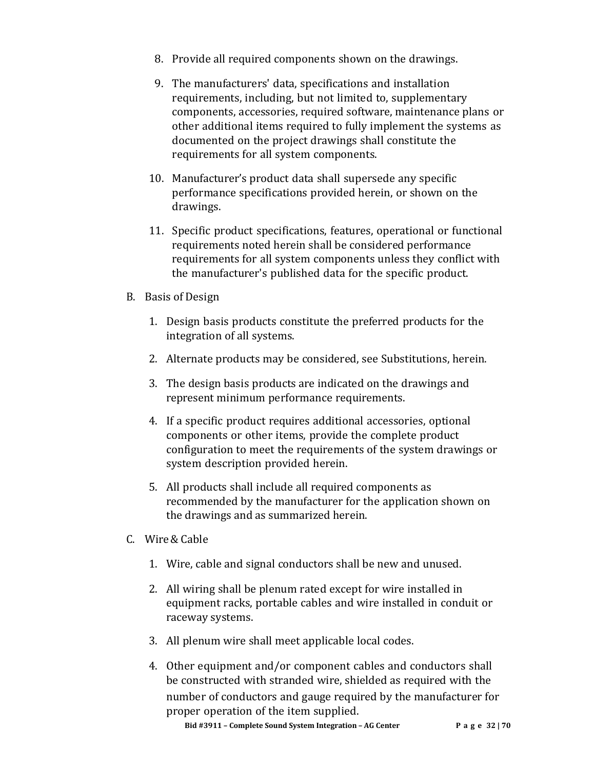- 8. Provide all required components shown on the drawings.
- 9. The manufacturers' data, specifications and installation requirements, including, but not limited to, supplementary components, accessories, required software, maintenance plans or other additional items required to fully implement the systems as documented on the project drawings shall constitute the requirements for all system components.
- 10. Manufacturer's product data shall supersede any specific performance specifications provided herein, or shown on the drawings.
- 11. Specific product specifications, features, operational or functional requirements noted herein shall be considered performance requirements for all system components unless they conflict with the manufacturer's published data for the specific product.
- B. Basis of Design
	- 1. Design basis products constitute the preferred products for the integration of all systems.
	- 2. Alternate products may be considered, see Substitutions, herein.
	- 3. The design basis products are indicated on the drawings and represent minimum performance requirements.
	- 4. If a specific product requires additional accessories, optional components or other items, provide the complete product configuration to meet the requirements of the system drawings or system description provided herein.
	- 5. All products shall include all required components as recommended by the manufacturer for the application shown on the drawings and as summarized herein.
- C. Wire& Cable
	- 1. Wire, cable and signal conductors shall be new and unused.
	- 2. All wiring shall be plenum rated except for wire installed in equipment racks, portable cables and wire installed in conduit or raceway systems.
	- 3. All plenum wire shall meet applicable local codes.
	- 4. Other equipment and/or component cables and conductors shall be constructed with stranded wire, shielded as required with the number of conductors and gauge required by the manufacturer for proper operation of the item supplied.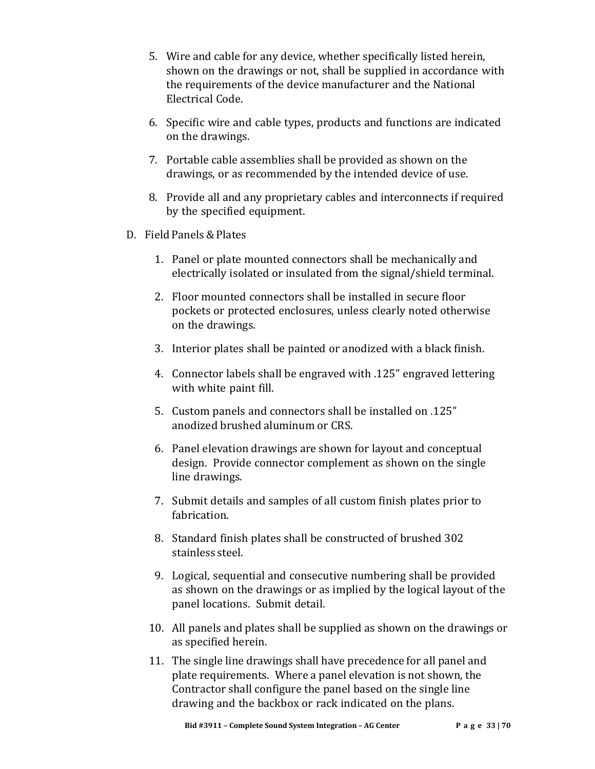- 5. Wire and cable for any device, whether specifically listed herein, shown on the drawings or not, shall be supplied in accordance with the requirements of the device manufacturer and the National Electrical Code.
- 6. Specific wire and cable types, products and functions are indicated on the drawings.
- 7. Portable cable assemblies shall be provided as shown on the drawings, or as recommended by the intended device of use.
- 8. Provide all and any proprietary cables and interconnects if required by the specified equipment.
- D. Field Panels&Plates
	- 1. Panel or plate mounted connectors shall be mechanically and electrically isolated or insulated from the signal/shield terminal.
	- 2. Floor mounted connectors shall be installed in secure floor pockets or protected enclosures, unless clearly noted otherwise on the drawings.
	- 3. Interior plates shall be painted or anodized with a black finish.
	- 4. Connector labels shall be engraved with .125" engraved lettering with white paint fill.
	- 5. Custom panels and connectors shall be installed on .125" anodized brushed aluminum or CRS.
	- 6. Panel elevation drawings are shown for layout and conceptual design. Provide connector complement as shown on the single line drawings.
	- 7. Submit details and samples of all custom finish plates prior to fabrication.
	- 8. Standard finish plates shall be constructed of brushed 302 stainless steel.
	- 9. Logical, sequential and consecutive numbering shall be provided as shown on the drawings or as implied by the logical layout of the panel locations. Submit detail.
	- 10. All panels and plates shall be supplied as shown on the drawings or as specified herein.
	- 11. The single line drawings shall have precedence for all panel and plate requirements. Where a panel elevation is not shown, the Contractor shall configure the panel based on the single line drawing and the backbox or rack indicated on the plans.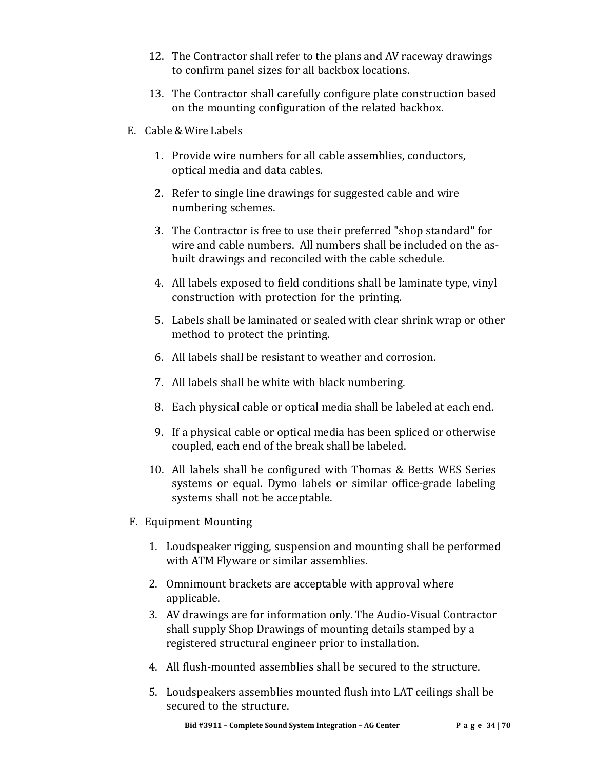- 12. The Contractor shall refer to the plans and AV raceway drawings to confirm panel sizes for all backbox locations.
- 13. The Contractor shall carefully configure plate construction based on the mounting configuration of the related backbox.
- E. Cable & Wire Labels
	- 1. Provide wire numbers for all cable assemblies, conductors, optical media and data cables.
	- 2. Refer to single line drawings for suggested cable and wire numbering schemes.
	- 3. The Contractor is free to use their preferred "shop standard" for wire and cable numbers. All numbers shall be included on the asbuilt drawings and reconciled with the cable schedule.
	- 4. All labels exposed to field conditions shall be laminate type, vinyl construction with protection for the printing.
	- 5. Labels shall be laminated or sealed with clear shrink wrap or other method to protect the printing.
	- 6. All labels shall be resistant to weather and corrosion.
	- 7. All labels shall be white with black numbering.
	- 8. Each physical cable or optical media shall be labeled at each end.
	- 9. If a physical cable or optical media has been spliced or otherwise coupled, each end of the break shall be labeled.
	- 10. All labels shall be configured with Thomas & Betts WES Series systems or equal. Dymo labels or similar office-grade labeling systems shall not be acceptable.
- F. Equipment Mounting
	- 1. Loudspeaker rigging, suspension and mounting shall be performed with ATM Flyware or similar assemblies.
	- 2. Omnimount brackets are acceptable with approval where applicable.
	- 3. AV drawings are for information only. The Audio-Visual Contractor shall supply Shop Drawings of mounting details stamped by a registered structural engineer prior to installation.
	- 4. All flush-mounted assemblies shall be secured to the structure.
	- 5. Loudspeakers assemblies mounted flush into LAT ceilings shall be secured to the structure.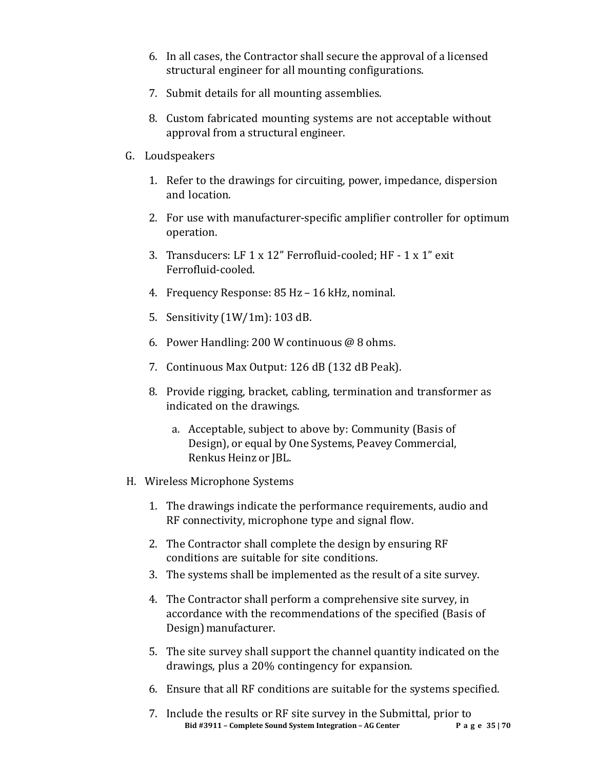- 6. In all cases, the Contractor shall secure the approval of a licensed structural engineer for all mounting configurations.
- 7. Submit details for all mounting assemblies.
- 8. Custom fabricated mounting systems are not acceptable without approval from a structural engineer.
- G. Loudspeakers
	- 1. Refer to the drawings for circuiting, power, impedance, dispersion and location.
	- 2. For use with manufacturer-specific amplifier controller for optimum operation.
	- 3. Transducers: LF 1 x 12" Ferrofluid-cooled; HF 1 x 1" exit Ferrofluid-cooled.
	- 4. Frequency Response: 85 Hz 16 kHz, nominal.
	- 5. Sensitivity (1W/1m): 103 dB.
	- 6. Power Handling: 200 W continuous @ 8 ohms.
	- 7. Continuous Max Output: 126 dB (132 dB Peak).
	- 8. Provide rigging, bracket, cabling, termination and transformer as indicated on the drawings.
		- a. Acceptable, subject to above by: Community (Basis of Design), or equal by One Systems, Peavey Commercial, Renkus Heinz or JBL.
- H. Wireless Microphone Systems
	- 1. The drawings indicate the performance requirements, audio and RF connectivity, microphone type and signal flow.
	- 2. The Contractor shall complete the design by ensuring RF conditions are suitable for site conditions.
	- 3. The systems shall be implemented as the result of a site survey.
	- 4. The Contractor shall perform a comprehensive site survey, in accordance with the recommendations of the specified (Basis of Design) manufacturer.
	- 5. The site survey shall support the channel quantity indicated on the drawings, plus a 20% contingency for expansion.
	- 6. Ensure that all RF conditions are suitable for the systems specified.
	- **Bid #3911 – Complete Sound System Integration – AG Center Page 35 | 70** 7. Include the results or RF site survey in the Submittal, prior to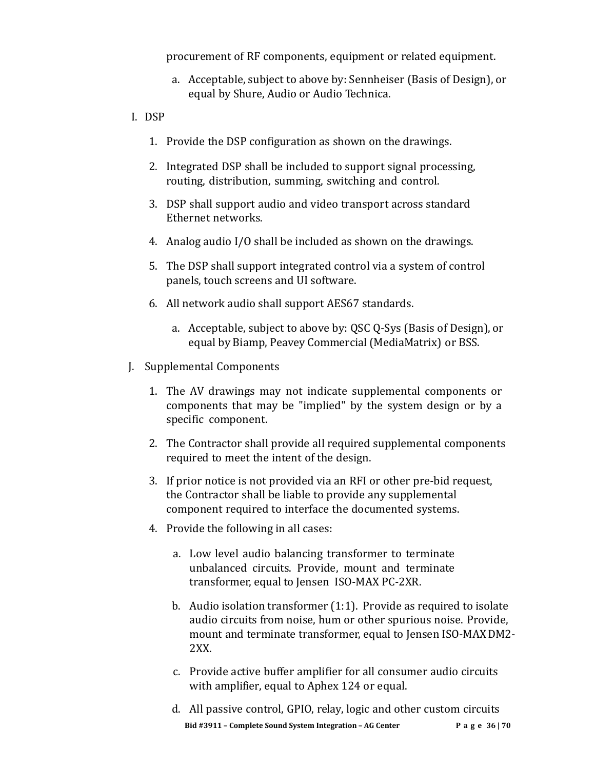procurement of RF components, equipment or related equipment.

- a. Acceptable, subject to above by: Sennheiser (Basis of Design), or equal by Shure, Audio or Audio Technica.
- I. DSP
	- 1. Provide the DSP configuration as shown on the drawings.
	- 2. Integrated DSP shall be included to support signal processing, routing, distribution, summing, switching and control.
	- 3. DSP shall support audio and video transport across standard Ethernet networks.
	- 4. Analog audio I/O shall be included as shown on the drawings.
	- 5. The DSP shall support integrated control via a system of control panels, touch screens and UI software.
	- 6. All network audio shall support AES67 standards.
		- a. Acceptable, subject to above by: QSC Q-Sys (Basis of Design), or equal by Biamp, Peavey Commercial(MediaMatrix) or BSS.
- J. Supplemental Components
	- 1. The AV drawings may not indicate supplemental components or components that may be "implied" by the system design or by a specific component.
	- 2. The Contractor shall provide all required supplemental components required to meet the intent of the design.
	- 3. If prior notice is not provided via an RFI or other pre-bid request, the Contractor shall be liable to provide any supplemental component required to interface the documented systems.
	- 4. Provide the following in all cases:
		- a. Low level audio balancing transformer to terminate unbalanced circuits. Provide, mount and terminate transformer, equal to Jensen ISO-MAX PC-2XR.
		- b. Audio isolation transformer (1:1). Provide as required to isolate audio circuits from noise, hum or other spurious noise. Provide, mount and terminate transformer, equal to Jensen ISO-MAXDM2- 2XX.
		- c. Provide active buffer amplifier for all consumer audio circuits with amplifier, equal to Aphex 124 or equal.
		- **Bid #3911 – Complete Sound System Integration – AG Center Page 36 | 70** d. All passive control, GPIO, relay, logic and other custom circuits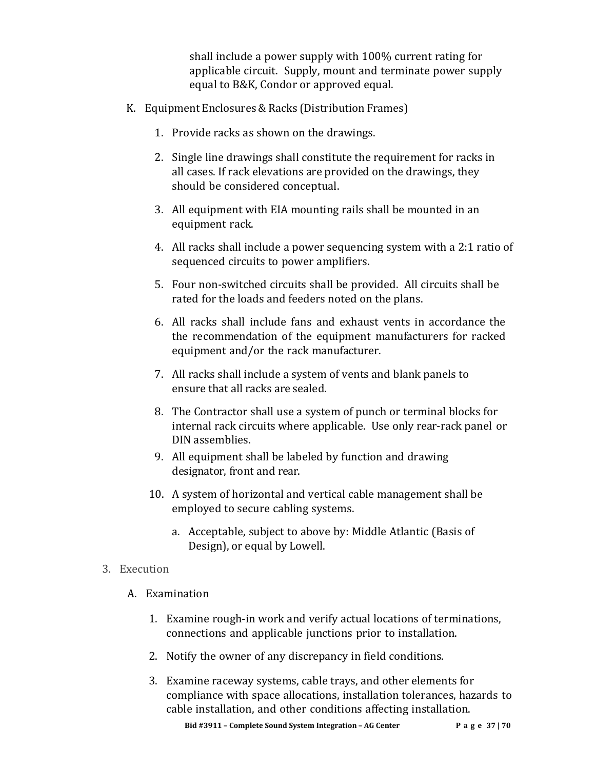shall include a power supply with 100% current rating for applicable circuit. Supply, mount and terminate power supply equal to B&K, Condor or approved equal.

- K. Equipment Enclosures& Racks (Distribution Frames)
	- 1. Provide racks as shown on the drawings.
	- 2. Single line drawings shall constitute the requirement for racks in all cases. If rack elevations are provided on the drawings, they should be considered conceptual.
	- 3. All equipment with EIA mounting rails shall be mounted in an equipment rack.
	- 4. All racks shall include a power sequencing system with a 2:1 ratio of sequenced circuits to power amplifiers.
	- 5. Four non-switched circuits shall be provided. All circuits shall be rated for the loads and feeders noted on the plans.
	- 6. All racks shall include fans and exhaust vents in accordance the the recommendation of the equipment manufacturers for racked equipment and/or the rack manufacturer.
	- 7. All racks shall include a system of vents and blank panels to ensure that all racks are sealed.
	- 8. The Contractor shall use a system of punch or terminal blocks for internal rack circuits where applicable. Use only rear-rack panel or DIN assemblies.
	- 9. All equipment shall be labeled by function and drawing designator, front and rear.
	- 10. A system of horizontal and vertical cable management shall be employed to secure cabling systems.
		- a. Acceptable, subject to above by: Middle Atlantic (Basis of Design), or equal by Lowell.

### 3. Execution

- A. Examination
	- 1. Examine rough-in work and verify actual locations of terminations, connections and applicable junctions prior to installation.
	- 2. Notify the owner of any discrepancy in field conditions.
	- 3. Examine raceway systems, cable trays, and other elements for compliance with space allocations, installation tolerances, hazards to cable installation, and other conditions affecting installation.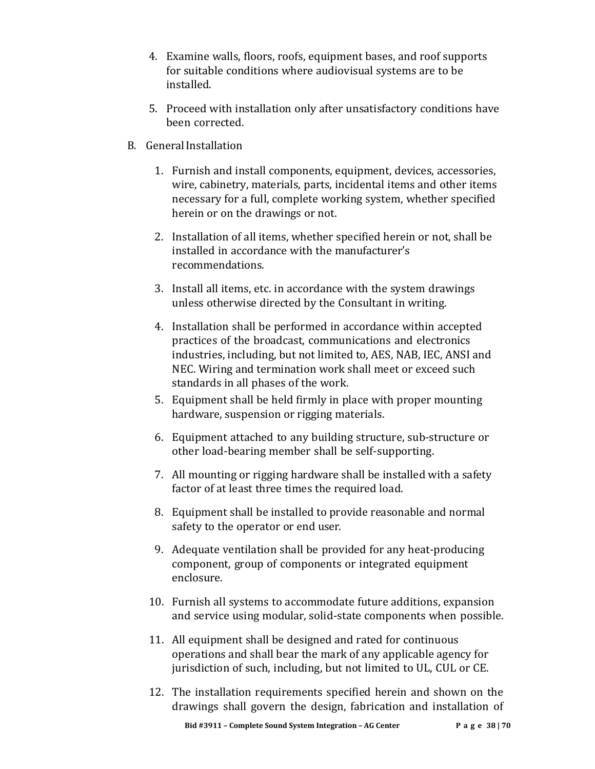- 4. Examine walls, floors, roofs, equipment bases, and roof supports for suitable conditions where audiovisual systems are to be installed.
- 5. Proceed with installation only after unsatisfactory conditions have been corrected.
- B. GeneralInstallation
	- 1. Furnish and install components, equipment, devices, accessories, wire, cabinetry, materials, parts, incidental items and other items necessary for a full, complete working system, whether specified herein or on the drawings or not.
	- 2. Installation of all items, whether specified herein or not, shall be installed in accordance with the manufacturer's recommendations.
	- 3. Install all items, etc. in accordance with the system drawings unless otherwise directed by the Consultant in writing.
	- 4. Installation shall be performed in accordance within accepted practices of the broadcast, communications and electronics industries, including, but not limited to, AES, NAB, IEC, ANSI and NEC. Wiring and termination work shall meet or exceed such standards in all phases of the work.
	- 5. Equipment shall be held firmly in place with proper mounting hardware, suspension or rigging materials.
	- 6. Equipment attached to any building structure, sub-structure or other load-bearing member shall be self-supporting.
	- 7. All mounting or rigging hardware shall be installed with a safety factor of at least three times the required load.
	- 8. Equipment shall be installed to provide reasonable and normal safety to the operator or end user.
	- 9. Adequate ventilation shall be provided for any heat-producing component, group of components or integrated equipment enclosure.
	- 10. Furnish all systems to accommodate future additions, expansion and service using modular, solid-state components when possible.
	- 11. All equipment shall be designed and rated for continuous operations and shall bear the mark of any applicable agency for jurisdiction of such, including, but not limited to UL, CUL or CE.
	- 12. The installation requirements specified herein and shown on the drawings shall govern the design, fabrication and installation of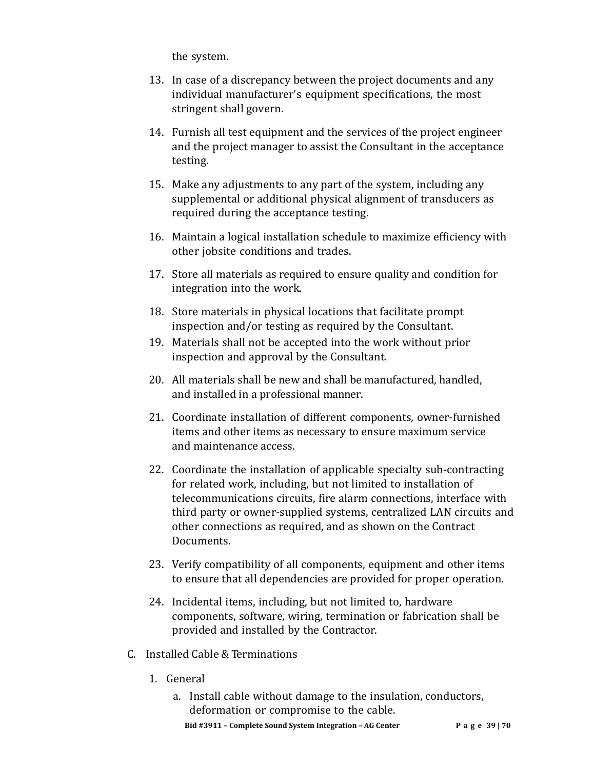the system.

- 13. In case of a discrepancy between the project documents and any individual manufacturer's equipment specifications, the most stringent shall govern.
- 14. Furnish all test equipment and the services of the project engineer and the project manager to assist the Consultant in the acceptance testing.
- 15. Make any adjustments to any part of the system, including any supplemental or additional physical alignment of transducers as required during the acceptance testing.
- 16. Maintain a logical installation schedule to maximize efficiency with other jobsite conditions and trades.
- 17. Store all materials as required to ensure quality and condition for integration into the work.
- 18. Store materials in physical locations that facilitate prompt inspection and/or testing as required by the Consultant.
- 19. Materials shall not be accepted into the work without prior inspection and approval by the Consultant.
- 20. All materials shall be new and shall be manufactured, handled, and installed in a professional manner.
- 21. Coordinate installation of different components, owner-furnished items and other items as necessary to ensure maximum service and maintenance access.
- 22. Coordinate the installation of applicable specialty sub-contracting for related work, including, but not limited to installation of telecommunications circuits, fire alarm connections, interface with third party or owner-supplied systems, centralized LAN circuits and other connections as required, and as shown on the Contract Documents.
- 23. Verify compatibility of all components, equipment and other items to ensure that all dependencies are provided for proper operation.
- 24. Incidental items, including, but not limited to, hardware components, software, wiring, termination or fabrication shall be provided and installed by the Contractor.
- C. Installed Cable & Terminations
	- 1. General
		- **Bid #3911 – Complete Sound System Integration – AG Center Page 39 | 70** a. Install cable without damage to the insulation, conductors, deformation or compromise to the cable.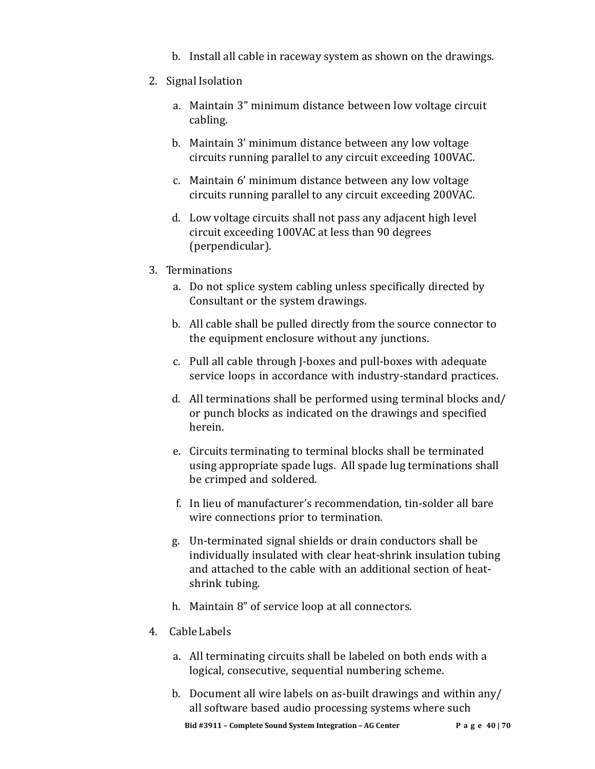- b. Install all cable in raceway system as shown on the drawings.
- 2. Signal Isolation
	- a. Maintain 3" minimum distance between low voltage circuit cabling.
	- b. Maintain 3' minimum distance between any low voltage circuits running parallel to any circuit exceeding 100VAC.
	- c. Maintain 6' minimum distance between any low voltage circuits running parallel to any circuit exceeding 200VAC.
	- d. Low voltage circuits shall not pass any adjacent high level circuit exceeding 100VAC at less than 90 degrees (perpendicular).
- 3. Terminations
	- a. Do not splice system cabling unless specifically directed by Consultant or the system drawings.
	- b. All cable shall be pulled directly from the source connector to the equipment enclosure without any junctions.
	- c. Pull all cable through J-boxes and pull-boxes with adequate service loops in accordance with industry-standard practices.
	- d. All terminations shall be performed using terminal blocks and/ or punch blocks as indicated on the drawings and specified herein.
	- e. Circuits terminating to terminal blocks shall be terminated using appropriate spade lugs. All spade lug terminations shall be crimped and soldered.
	- f. In lieu of manufacturer's recommendation, tin-solder all bare wire connections prior to termination.
	- g. Un-terminated signal shields or drain conductors shall be individually insulated with clear heat-shrink insulation tubing and attached to the cable with an additional section of heatshrink tubing.
	- h. Maintain 8" of service loop at all connectors.
- 4. Cable Labels
	- a. All terminating circuits shall be labeled on both ends with a logical, consecutive, sequential numbering scheme.
	- b. Document all wire labels on as-built drawings and within any/ all software based audio processing systems where such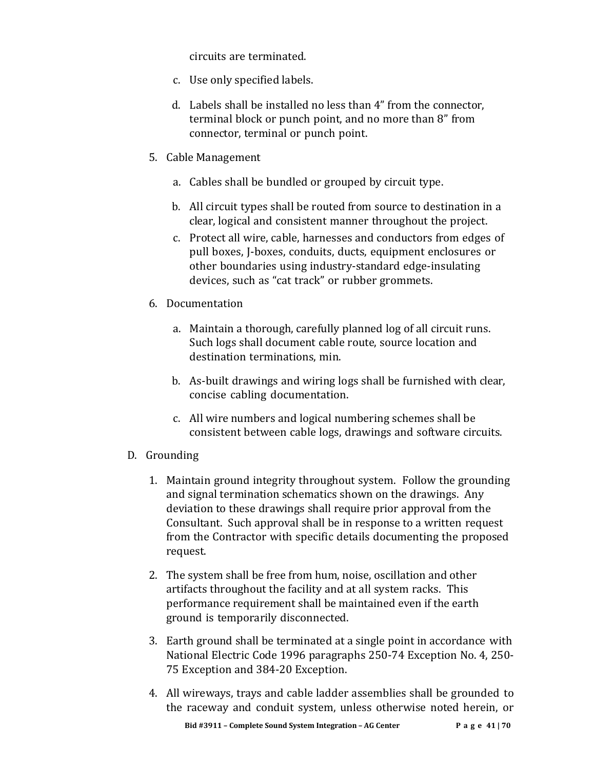circuits are terminated.

- c. Use only specified labels.
- d. Labels shall be installed no less than 4" from the connector, terminal block or punch point, and no more than 8" from connector, terminal or punch point.
- 5. Cable Management
	- a. Cables shall be bundled or grouped by circuit type.
	- b. All circuit types shall be routed from source to destination in a clear, logical and consistent manner throughout the project.
	- c. Protect all wire, cable, harnesses and conductors from edges of pull boxes, J-boxes, conduits, ducts, equipment enclosures or other boundaries using industry-standard edge-insulating devices, such as "cat track" or rubber grommets.
- 6. Documentation
	- a. Maintain a thorough, carefully planned log of all circuit runs. Such logs shall document cable route, source location and destination terminations, min.
	- b. As-built drawings and wiring logs shall be furnished with clear, concise cabling documentation.
	- c. All wire numbers and logical numbering schemes shall be consistent between cable logs, drawings and software circuits.
- D. Grounding
	- 1. Maintain ground integrity throughout system. Follow the grounding and signal termination schematics shown on the drawings. Any deviation to these drawings shall require prior approval from the Consultant. Such approval shall be in response to a written request from the Contractor with specific details documenting the proposed request.
	- 2. The system shall be free from hum, noise, oscillation and other artifacts throughout the facility and at all system racks. This performance requirement shall be maintained even if the earth ground is temporarily disconnected.
	- 3. Earth ground shall be terminated at a single point in accordance with National Electric Code 1996 paragraphs 250-74 Exception No. 4, 250- 75 Exception and 384-20 Exception.
	- 4. All wireways, trays and cable ladder assemblies shall be grounded to the raceway and conduit system, unless otherwise noted herein, or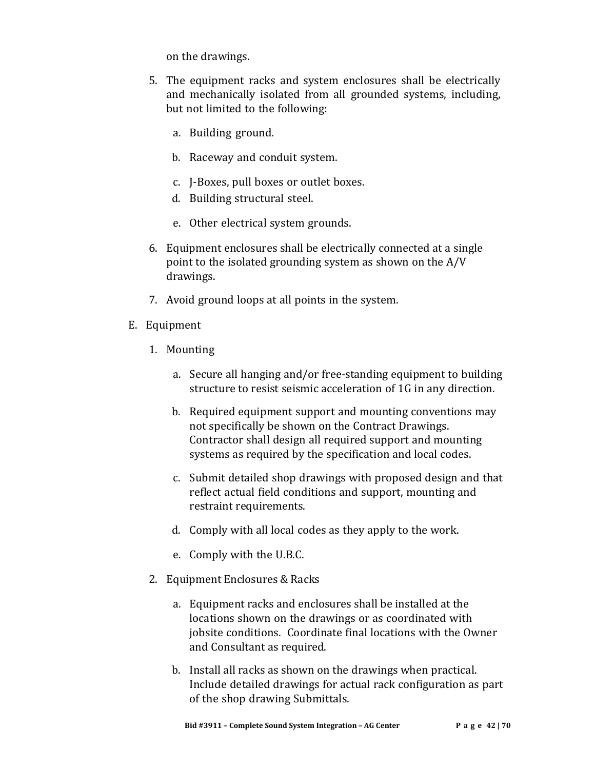on the drawings.

- 5. The equipment racks and system enclosures shall be electrically and mechanically isolated from all grounded systems, including, but not limited to the following:
	- a. Building ground.
	- b. Raceway and conduit system.
	- c. J-Boxes, pull boxes or outlet boxes.
	- d. Building structural steel.
	- e. Other electrical system grounds.
- 6. Equipment enclosures shall be electrically connected at a single point to the isolated grounding system as shown on the A/V drawings.
- 7. Avoid ground loops at all points in the system.
- E. Equipment
	- 1. Mounting
		- a. Secure all hanging and/or free-standing equipment to building structure to resist seismic acceleration of 1G in any direction.
		- b. Required equipment support and mounting conventions may not specifically be shown on the Contract Drawings. Contractor shall design all required support and mounting systems as required by the specification and local codes.
		- c. Submit detailed shop drawings with proposed design and that reflect actual field conditions and support, mounting and restraint requirements.
		- d. Comply with all local codes as they apply to the work.
		- e. Comply with the U.B.C.
	- 2. Equipment Enclosures & Racks
		- a. Equipment racks and enclosures shall be installed at the locations shown on the drawings or as coordinated with jobsite conditions. Coordinate final locations with the Owner and Consultant as required.
		- b. Install all racks as shown on the drawings when practical. Include detailed drawings for actual rack configuration as part of the shop drawing Submittals.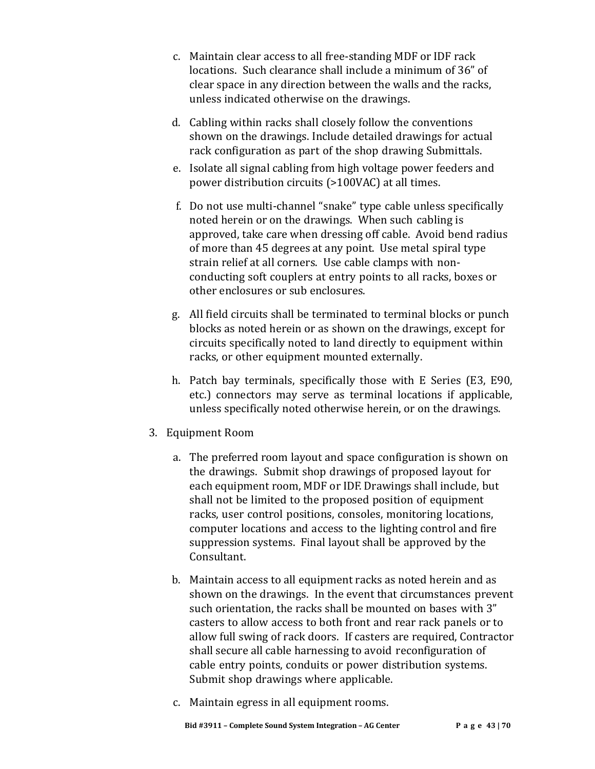- c. Maintain clear access to all free-standing MDF or IDF rack locations. Such clearance shall include a minimum of 36" of clear space in any direction between the walls and the racks, unless indicated otherwise on the drawings.
- d. Cabling within racks shall closely follow the conventions shown on the drawings. Include detailed drawings for actual rack configuration as part of the shop drawing Submittals.
- e. Isolate all signal cabling from high voltage power feeders and power distribution circuits (>100VAC) at all times.
- f. Do not use multi-channel "snake" type cable unless specifically noted herein or on the drawings. When such cabling is approved, take care when dressing off cable. Avoid bend radius of more than 45 degrees at any point. Use metal spiral type strain relief at all corners. Use cable clamps with nonconducting soft couplers at entry points to all racks, boxes or other enclosures or sub enclosures.
- g. All field circuits shall be terminated to terminal blocks or punch blocks as noted herein or as shown on the drawings, except for circuits specifically noted to land directly to equipment within racks, or other equipment mounted externally.
- h. Patch bay terminals, specifically those with E Series (E3, E90, etc.) connectors may serve as terminal locations if applicable, unless specifically noted otherwise herein, or on the drawings.
- 3. Equipment Room
	- a. The preferred room layout and space configuration is shown on the drawings. Submit shop drawings of proposed layout for each equipment room, MDF or IDF. Drawings shall include, but shall not be limited to the proposed position of equipment racks, user control positions, consoles, monitoring locations, computer locations and access to the lighting control and fire suppression systems. Final layout shall be approved by the Consultant.
	- b. Maintain access to all equipment racks as noted herein and as shown on the drawings. In the event that circumstances prevent such orientation, the racks shall be mounted on bases with 3" casters to allow access to both front and rear rack panels or to allow full swing of rack doors. If casters are required, Contractor shall secure all cable harnessing to avoid reconfiguration of cable entry points, conduits or power distribution systems. Submit shop drawings where applicable.
	- c. Maintain egress in all equipment rooms.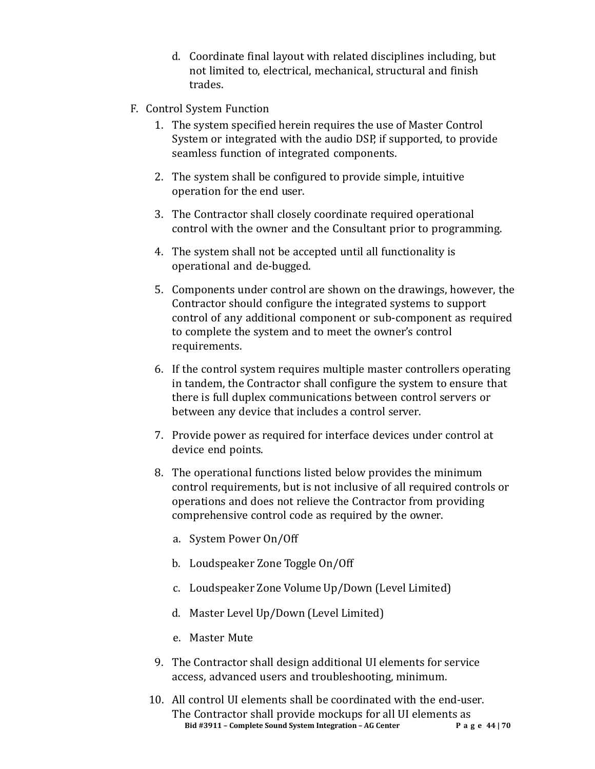- d. Coordinate final layout with related disciplines including, but not limited to, electrical, mechanical, structural and finish trades.
- F. Control System Function
	- 1. The system specified herein requires the use of Master Control System or integrated with the audio DSP, if supported, to provide seamless function of integrated components.
	- 2. The system shall be configured to provide simple, intuitive operation for the end user.
	- 3. The Contractor shall closely coordinate required operational control with the owner and the Consultant prior to programming.
	- 4. The system shall not be accepted until all functionality is operational and de-bugged.
	- 5. Components under control are shown on the drawings, however, the Contractor should configure the integrated systems to support control of any additional component or sub-component as required to complete the system and to meet the owner's control requirements.
	- 6. If the control system requires multiple master controllers operating in tandem, the Contractor shall configure the system to ensure that there is full duplex communications between control servers or between any device that includes a control server.
	- 7. Provide power as required for interface devices under control at device end points.
	- 8. The operational functions listed below provides the minimum control requirements, but is not inclusive of all required controls or operations and does not relieve the Contractor from providing comprehensive control code as required by the owner.
		- a. System Power On/Off
		- b. Loudspeaker Zone Toggle On/Off
		- c. Loudspeaker Zone Volume Up/Down (Level Limited)
		- d. Master Level Up/Down (Level Limited)
		- e. Master Mute
	- 9. The Contractor shall design additional UI elements for service access, advanced users and troubleshooting, minimum.
	- **Bid #3911 – Complete Sound System Integration – AG Center Page 44 | 70** 10. All control UI elements shall be coordinated with the end-user. The Contractor shall provide mockups for all UI elements as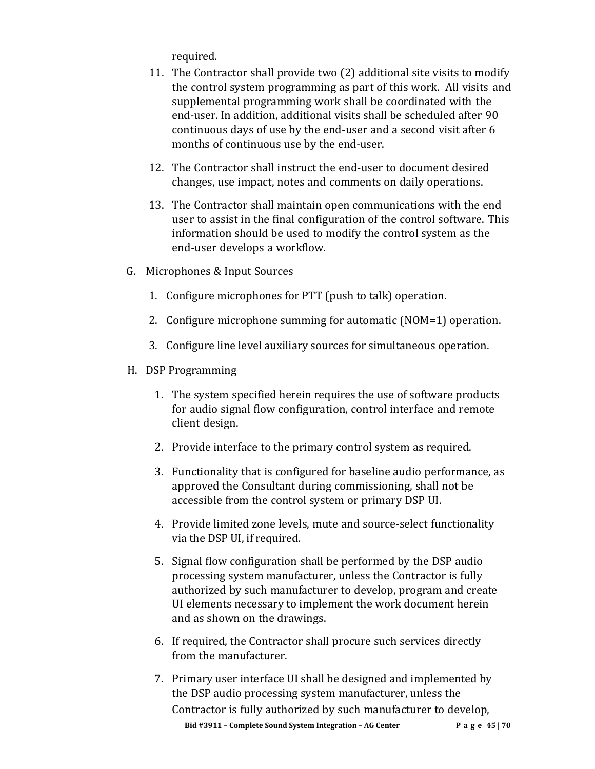required.

- 11. The Contractor shall provide two (2) additional site visits to modify the control system programming as part of this work. All visits and supplemental programming work shall be coordinated with the end-user. In addition, additional visits shall be scheduled after 90 continuous days of use by the end-user and a second visit after 6 months of continuous use by the end-user.
- 12. The Contractor shall instruct the end-user to document desired changes, use impact, notes and comments on daily operations.
- 13. The Contractor shall maintain open communications with the end user to assist in the final configuration of the control software. This information should be used to modify the control system as the end-user develops a workflow.
- G. Microphones & Input Sources
	- 1. Configure microphones for PTT (push to talk) operation.
	- 2. Configure microphone summing for automatic (NOM=1) operation.
	- 3. Configure line level auxiliary sources for simultaneous operation.
- H. DSP Programming
	- 1. The system specified herein requires the use of software products for audio signal flow configuration, control interface and remote client design.
	- 2. Provide interface to the primary control system as required.
	- 3. Functionality that is configured for baseline audio performance, as approved the Consultant during commissioning, shall not be accessible from the control system or primary DSP UI.
	- 4. Provide limited zone levels, mute and source-select functionality via the DSP UI, if required.
	- 5. Signal flow configuration shall be performed by the DSP audio processing system manufacturer, unless the Contractor is fully authorized by such manufacturer to develop, program and create UI elements necessary to implement the work document herein and as shown on the drawings.
	- 6. If required, the Contractor shall procure such services directly from the manufacturer.
	- **Bid #3911 – Complete Sound System Integration – AG Center Page 45 | 70** 7. Primary user interface UI shall be designed and implemented by the DSP audio processing system manufacturer, unless the Contractor is fully authorized by such manufacturer to develop,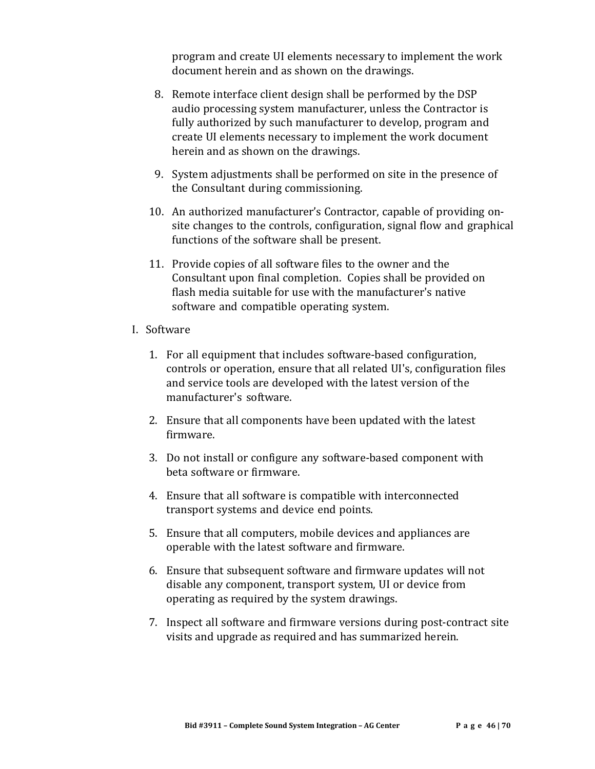program and create UI elements necessary to implement the work document herein and as shown on the drawings.

- 8. Remote interface client design shall be performed by the DSP audio processing system manufacturer, unless the Contractor is fully authorized by such manufacturer to develop, program and create UI elements necessary to implement the work document herein and as shown on the drawings.
- 9. System adjustments shall be performed on site in the presence of the Consultant during commissioning.
- 10. An authorized manufacturer's Contractor, capable of providing onsite changes to the controls, configuration, signal flow and graphical functions of the software shall be present.
- 11. Provide copies of all software files to the owner and the Consultant upon final completion. Copies shall be provided on flash media suitable for use with the manufacturer's native software and compatible operating system.
- I. Software
	- 1. For all equipment that includes software-based configuration, controls or operation, ensure that all related UI's, configuration files and service tools are developed with the latest version of the manufacturer's software.
	- 2. Ensure that all components have been updated with the latest firmware.
	- 3. Do not install or configure any software-based component with beta software or firmware.
	- 4. Ensure that all software is compatible with interconnected transport systems and device end points.
	- 5. Ensure that all computers, mobile devices and appliances are operable with the latest software and firmware.
	- 6. Ensure that subsequent software and firmware updates will not disable any component, transport system, UI or device from operating as required by the system drawings.
	- 7. Inspect all software and firmware versions during post-contract site visits and upgrade as required and has summarized herein.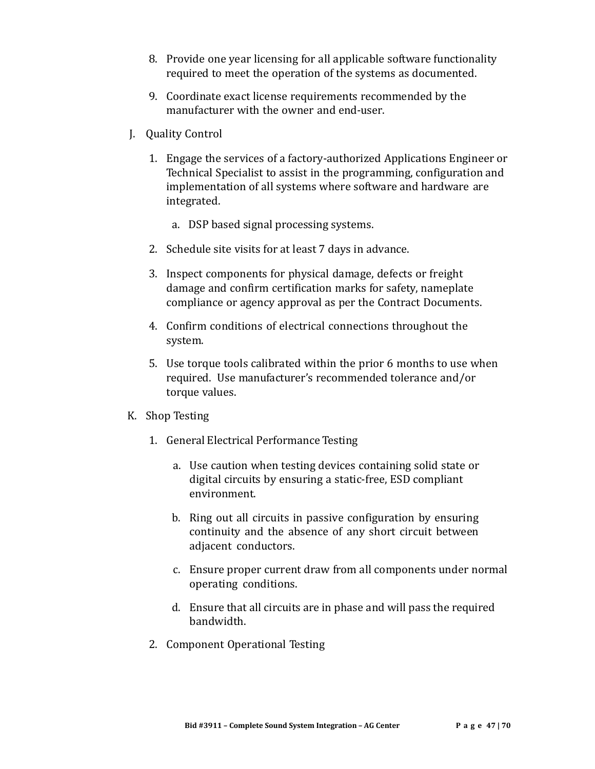- 8. Provide one year licensing for all applicable software functionality required to meet the operation of the systems as documented.
- 9. Coordinate exact license requirements recommended by the manufacturer with the owner and end-user.
- J. Quality Control
	- 1. Engage the services of a factory-authorized Applications Engineer or Technical Specialist to assist in the programming, configuration and implementation of all systems where software and hardware are integrated.
		- a. DSP based signal processing systems.
	- 2. Schedule site visits for at least 7 days in advance.
	- 3. Inspect components for physical damage, defects or freight damage and confirm certification marks for safety, nameplate compliance or agency approval as per the Contract Documents.
	- 4. Confirm conditions of electrical connections throughout the system.
	- 5. Use torque tools calibrated within the prior 6 months to use when required. Use manufacturer's recommended tolerance and/or torque values.

### K. Shop Testing

- 1. General Electrical Performance Testing
	- a. Use caution when testing devices containing solid state or digital circuits by ensuring a static-free, ESD compliant environment.
	- b. Ring out all circuits in passive configuration by ensuring continuity and the absence of any short circuit between adjacent conductors.
	- c. Ensure proper current draw from all components under normal operating conditions.
	- d. Ensure that all circuits are in phase and will pass the required bandwidth.
- 2. Component Operational Testing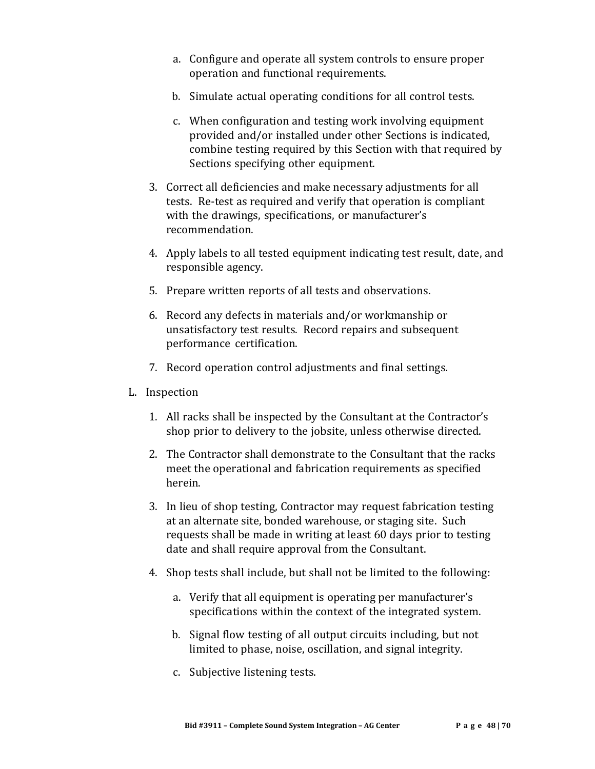- a. Configure and operate all system controls to ensure proper operation and functional requirements.
- b. Simulate actual operating conditions for all control tests.
- c. When configuration and testing work involving equipment provided and/or installed under other Sections is indicated, combine testing required by this Section with that required by Sections specifying other equipment.
- 3. Correct all deficiencies and make necessary adjustments for all tests. Re-test as required and verify that operation is compliant with the drawings, specifications, or manufacturer's recommendation.
- 4. Apply labels to all tested equipment indicating test result, date, and responsible agency.
- 5. Prepare written reports of all tests and observations.
- 6. Record any defects in materials and/or workmanship or unsatisfactory test results. Record repairs and subsequent performance certification.
- 7. Record operation control adjustments and final settings.
- L. Inspection
	- 1. All racks shall be inspected by the Consultant at the Contractor's shop prior to delivery to the jobsite, unless otherwise directed.
	- 2. The Contractor shall demonstrate to the Consultant that the racks meet the operational and fabrication requirements as specified herein.
	- 3. In lieu of shop testing, Contractor may request fabrication testing at an alternate site, bonded warehouse, or staging site. Such requests shall be made in writing at least 60 days prior to testing date and shall require approval from the Consultant.
	- 4. Shop tests shall include, but shall not be limited to the following:
		- a. Verify that all equipment is operating per manufacturer's specifications within the context of the integrated system.
		- b. Signal flow testing of all output circuits including, but not limited to phase, noise, oscillation, and signal integrity.
		- c. Subjective listening tests.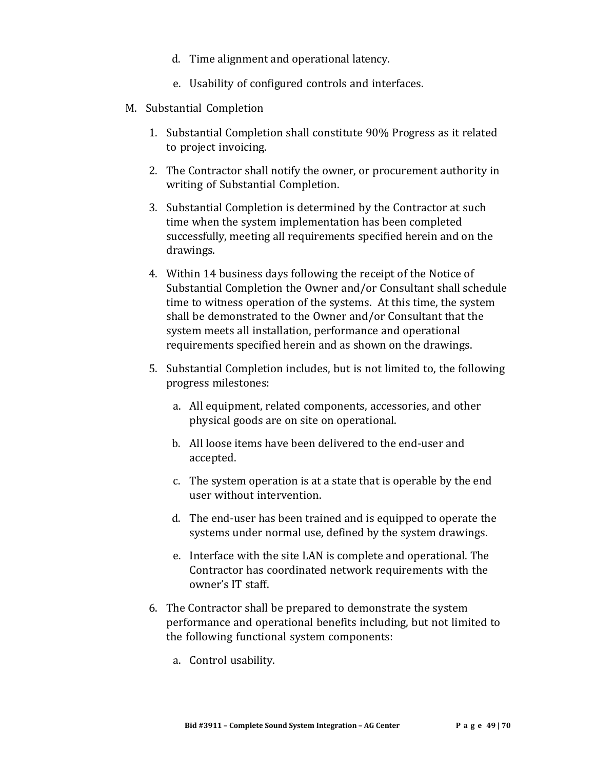- d. Time alignment and operational latency.
- e. Usability of configured controls and interfaces.
- M. Substantial Completion
	- 1. Substantial Completion shall constitute 90% Progress as it related to project invoicing.
	- 2. The Contractor shall notify the owner, or procurement authority in writing of Substantial Completion.
	- 3. Substantial Completion is determined by the Contractor at such time when the system implementation has been completed successfully, meeting all requirements specified herein and on the drawings.
	- 4. Within 14 business days following the receipt of the Notice of Substantial Completion the Owner and/or Consultant shall schedule time to witness operation of the systems. At this time, the system shall be demonstrated to the Owner and/or Consultant that the system meets all installation, performance and operational requirements specified herein and as shown on the drawings.
	- 5. Substantial Completion includes, but is not limited to, the following progress milestones:
		- a. All equipment, related components, accessories, and other physical goods are on site on operational.
		- b. All loose items have been delivered to the end-user and accepted.
		- c. The system operation is at a state that is operable by the end user without intervention.
		- d. The end-user has been trained and is equipped to operate the systems under normal use, defined by the system drawings.
		- e. Interface with the site LAN is complete and operational. The Contractor has coordinated network requirements with the owner's IT staff.
	- 6. The Contractor shall be prepared to demonstrate the system performance and operational benefits including, but not limited to the following functional system components:
		- a. Control usability.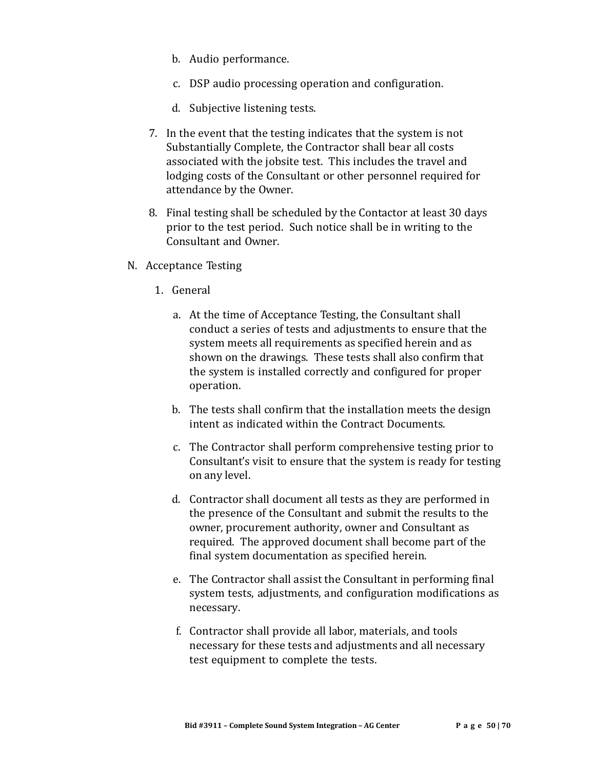- b. Audio performance.
- c. DSP audio processing operation and configuration.
- d. Subjective listening tests.
- 7. In the event that the testing indicates that the system is not Substantially Complete, the Contractor shall bear all costs associated with the jobsite test. This includes the travel and lodging costs of the Consultant or other personnel required for attendance by the Owner.
- 8. Final testing shall be scheduled by the Contactor at least 30 days prior to the test period. Such notice shall be in writing to the Consultant and Owner.
- N. Acceptance Testing
	- 1. General
		- a. At the time of Acceptance Testing, the Consultant shall conduct a series of tests and adjustments to ensure that the system meets all requirements as specified herein and as shown on the drawings. These tests shall also confirm that the system is installed correctly and configured for proper operation.
		- b. The tests shall confirm that the installation meets the design intent as indicated within the Contract Documents.
		- c. The Contractor shall perform comprehensive testing prior to Consultant's visit to ensure that the system is ready for testing on any level.
		- d. Contractor shall document all tests as they are performed in the presence of the Consultant and submit the results to the owner, procurement authority, owner and Consultant as required. The approved document shall become part of the final system documentation as specified herein.
		- e. The Contractor shall assist the Consultant in performing final system tests, adjustments, and configuration modifications as necessary.
		- f. Contractor shall provide all labor, materials, and tools necessary for these tests and adjustments and all necessary test equipment to complete the tests.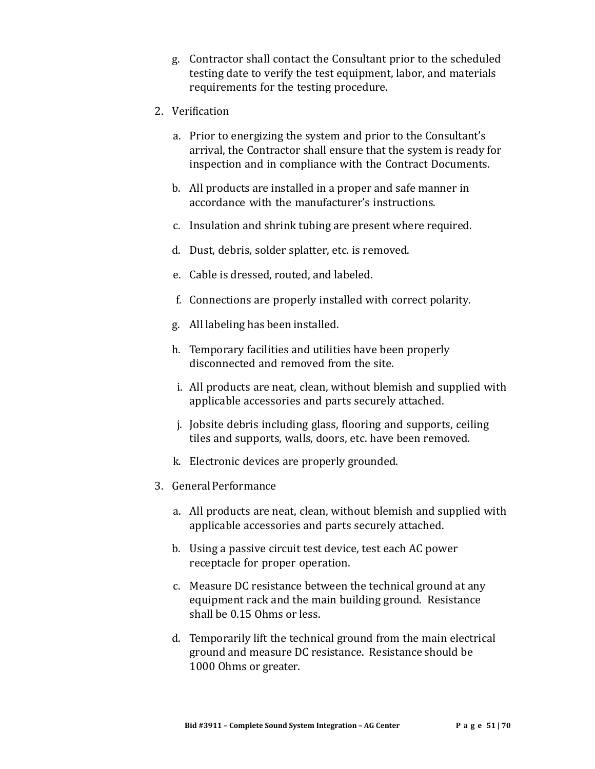- g. Contractor shall contact the Consultant prior to the scheduled testing date to verify the test equipment, labor, and materials requirements for the testing procedure.
- 2. Verification
	- a. Prior to energizing the system and prior to the Consultant's arrival, the Contractor shall ensure that the system is ready for inspection and in compliance with the Contract Documents.
	- b. All products are installed in a proper and safe manner in accordance with the manufacturer's instructions.
	- c. Insulation and shrink tubing are present where required.
	- d. Dust, debris, solder splatter, etc. is removed.
	- e. Cable is dressed, routed, and labeled.
	- f. Connections are properly installed with correct polarity.
	- g. All labeling has been installed.
	- h. Temporary facilities and utilities have been properly disconnected and removed from the site.
	- i. All products are neat, clean, without blemish and supplied with applicable accessories and parts securely attached.
	- j. Jobsite debris including glass, flooring and supports, ceiling tiles and supports, walls, doors, etc. have been removed.
	- k. Electronic devices are properly grounded.
- 3. GeneralPerformance
	- a. All products are neat, clean, without blemish and supplied with applicable accessories and parts securely attached.
	- b. Using a passive circuit test device, test each AC power receptacle for proper operation.
	- c. Measure DC resistance between the technical ground at any equipment rack and the main building ground. Resistance shall be 0.15 Ohms or less.
	- d. Temporarily lift the technical ground from the main electrical ground and measure DC resistance. Resistance should be 1000 Ohms or greater.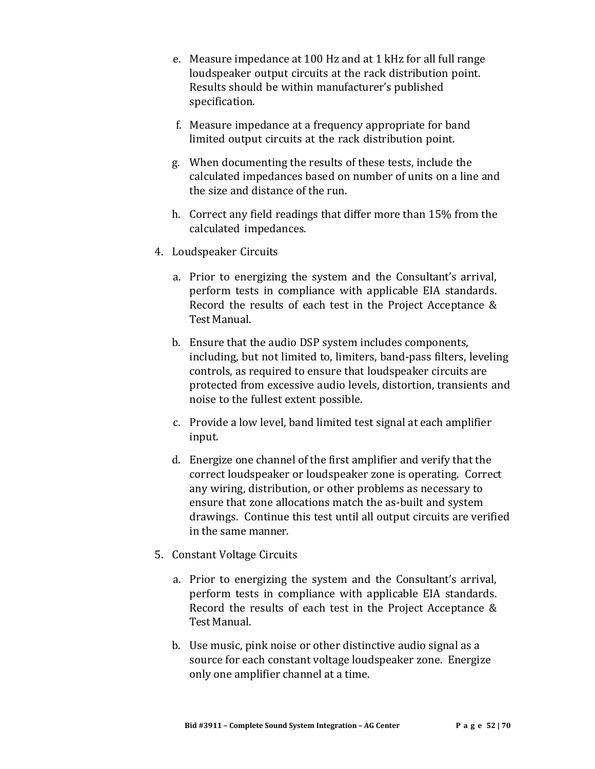- e. Measure impedance at 100 Hz and at 1 kHz for all full range loudspeaker output circuits at the rack distribution point. Results should be within manufacturer's published specification.
- f. Measure impedance at a frequency appropriate for band limited output circuits at the rack distribution point.
- g. When documenting the results of these tests, include the calculated impedances based on number of units on a line and the size and distance of the run.
- h. Correct any field readings that differ more than 15% from the calculated impedances.
- 4. Loudspeaker Circuits
	- a. Prior to energizing the system and the Consultant's arrival, perform tests in compliance with applicable EIA standards. Record the results of each test in the Project Acceptance & Test Manual.
	- b. Ensure that the audio DSP system includes components, including, but not limited to, limiters, band-pass filters, leveling controls, as required to ensure that loudspeaker circuits are protected from excessive audio levels, distortion, transients and noise to the fullest extent possible.
	- c. Provide a low level, band limited test signal at each amplifier input.
	- d. Energize one channel of the first amplifier and verify that the correct loudspeaker or loudspeaker zone is operating. Correct any wiring, distribution, or other problems as necessary to ensure that zone allocations match the as-built and system drawings. Continue this test until all output circuits are verified in the same manner.
- 5. Constant Voltage Circuits
	- a. Prior to energizing the system and the Consultant's arrival, perform tests in compliance with applicable EIA standards. Record the results of each test in the Project Acceptance & Test Manual.
	- b. Use music, pink noise or other distinctive audio signal as a source for each constant voltage loudspeaker zone. Energize only one amplifier channel at a time.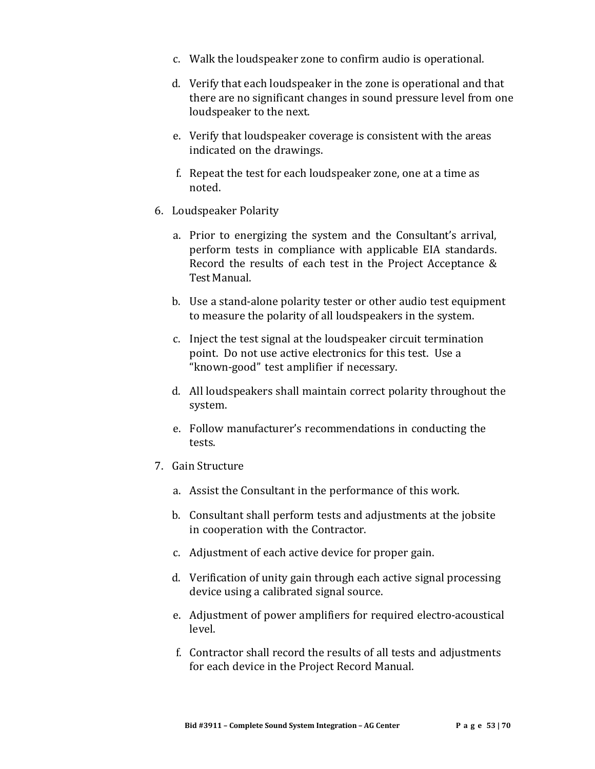- c. Walk the loudspeaker zone to confirm audio is operational.
- d. Verify that each loudspeaker in the zone is operational and that there are no significant changes in sound pressure level from one loudspeaker to the next.
- e. Verify that loudspeaker coverage is consistent with the areas indicated on the drawings.
- f. Repeat the test for each loudspeaker zone, one at a time as noted.
- 6. Loudspeaker Polarity
	- a. Prior to energizing the system and the Consultant's arrival, perform tests in compliance with applicable EIA standards. Record the results of each test in the Project Acceptance & Test Manual.
	- b. Use a stand-alone polarity tester or other audio test equipment to measure the polarity of all loudspeakers in the system.
	- c. Inject the test signal at the loudspeaker circuit termination point. Do not use active electronics for this test. Use a "known-good" test amplifier if necessary.
	- d. All loudspeakers shall maintain correct polarity throughout the system.
	- e. Follow manufacturer's recommendations in conducting the tests.
- 7. Gain Structure
	- a. Assist the Consultant in the performance of this work.
	- b. Consultant shall perform tests and adjustments at the jobsite in cooperation with the Contractor.
	- c. Adjustment of each active device for proper gain.
	- d. Verification of unity gain through each active signal processing device using a calibrated signal source.
	- e. Adjustment of power amplifiers for required electro-acoustical level.
	- f. Contractor shall record the results of all tests and adjustments for each device in the Project Record Manual.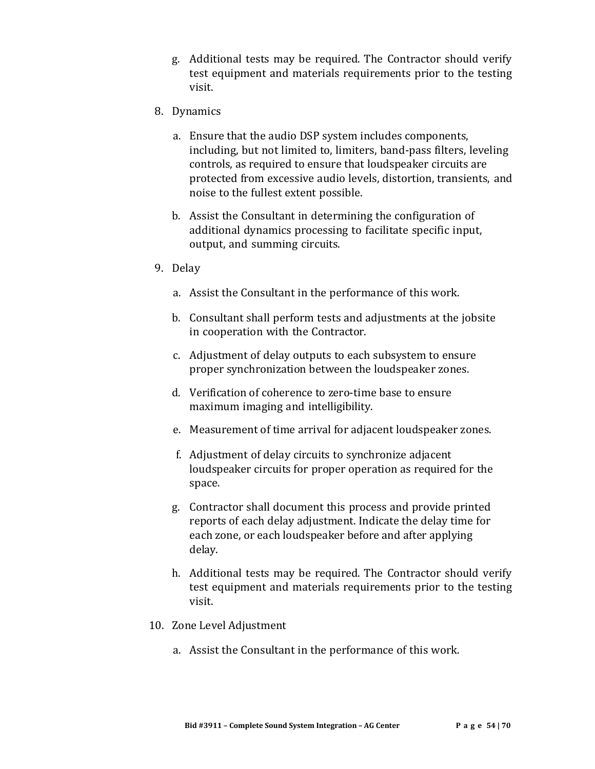- g. Additional tests may be required. The Contractor should verify test equipment and materials requirements prior to the testing visit.
- 8. Dynamics
	- a. Ensure that the audio DSP system includes components, including, but not limited to, limiters, band-pass filters, leveling controls, as required to ensure that loudspeaker circuits are protected from excessive audio levels, distortion, transients, and noise to the fullest extent possible.
	- b. Assist the Consultant in determining the configuration of additional dynamics processing to facilitate specific input, output, and summing circuits.
- 9. Delay
	- a. Assist the Consultant in the performance of this work.
	- b. Consultant shall perform tests and adjustments at the jobsite in cooperation with the Contractor.
	- c. Adjustment of delay outputs to each subsystem to ensure proper synchronization between the loudspeaker zones.
	- d. Verification of coherence to zero-time base to ensure maximum imaging and intelligibility.
	- e. Measurement of time arrival for adjacent loudspeaker zones.
	- f. Adjustment of delay circuits to synchronize adjacent loudspeaker circuits for proper operation as required for the space.
	- g. Contractor shall document this process and provide printed reports of each delay adjustment. Indicate the delay time for each zone, or each loudspeaker before and after applying delay.
	- h. Additional tests may be required. The Contractor should verify test equipment and materials requirements prior to the testing visit.
- 10. Zone Level Adjustment
	- a. Assist the Consultant in the performance of this work.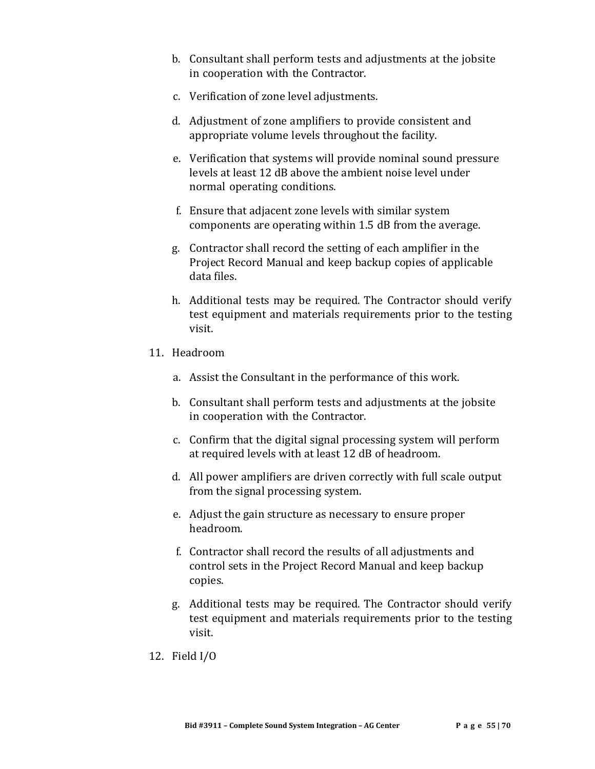- b. Consultant shall perform tests and adjustments at the jobsite in cooperation with the Contractor.
- c. Verification of zone level adjustments.
- d. Adjustment of zone amplifiers to provide consistent and appropriate volume levels throughout the facility.
- e. Verification that systems will provide nominal sound pressure levels at least 12 dB above the ambient noise level under normal operating conditions.
- f. Ensure that adjacent zone levels with similar system components are operating within 1.5 dB from the average.
- g. Contractor shall record the setting of each amplifier in the Project Record Manual and keep backup copies of applicable data files.
- h. Additional tests may be required. The Contractor should verify test equipment and materials requirements prior to the testing visit.
- 11. Headroom
	- a. Assist the Consultant in the performance of this work.
	- b. Consultant shall perform tests and adjustments at the jobsite in cooperation with the Contractor.
	- c. Confirm that the digital signal processing system will perform at required levels with at least 12 dB of headroom.
	- d. All power amplifiers are driven correctly with full scale output from the signal processing system.
	- e. Adjust the gain structure as necessary to ensure proper headroom.
	- f. Contractor shall record the results of all adjustments and control sets in the Project Record Manual and keep backup copies.
	- g. Additional tests may be required. The Contractor should verify test equipment and materials requirements prior to the testing visit.
- 12. Field I/O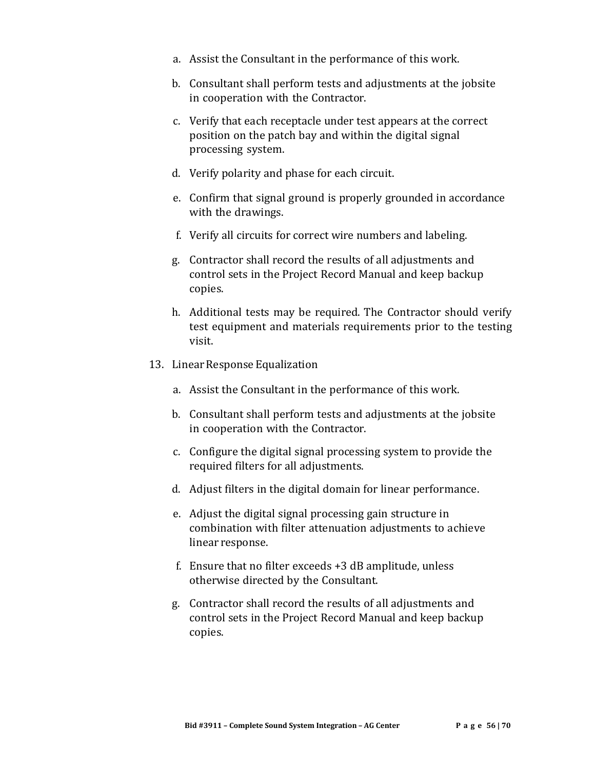- a. Assist the Consultant in the performance of this work.
- b. Consultant shall perform tests and adjustments at the jobsite in cooperation with the Contractor.
- c. Verify that each receptacle under test appears at the correct position on the patch bay and within the digital signal processing system.
- d. Verify polarity and phase for each circuit.
- e. Confirm that signal ground is properly grounded in accordance with the drawings.
- f. Verify all circuits for correct wire numbers and labeling.
- g. Contractor shall record the results of all adjustments and control sets in the Project Record Manual and keep backup copies.
- h. Additional tests may be required. The Contractor should verify test equipment and materials requirements prior to the testing visit.
- 13. Linear Response Equalization
	- a. Assist the Consultant in the performance of this work.
	- b. Consultant shall perform tests and adjustments at the jobsite in cooperation with the Contractor.
	- c. Configure the digital signal processing system to provide the required filters for all adjustments.
	- d. Adjust filters in the digital domain for linear performance.
	- e. Adjust the digital signal processing gain structure in combination with filter attenuation adjustments to achieve linear response.
	- f. Ensure that no filter exceeds +3 dB amplitude, unless otherwise directed by the Consultant.
	- g. Contractor shall record the results of all adjustments and control sets in the Project Record Manual and keep backup copies.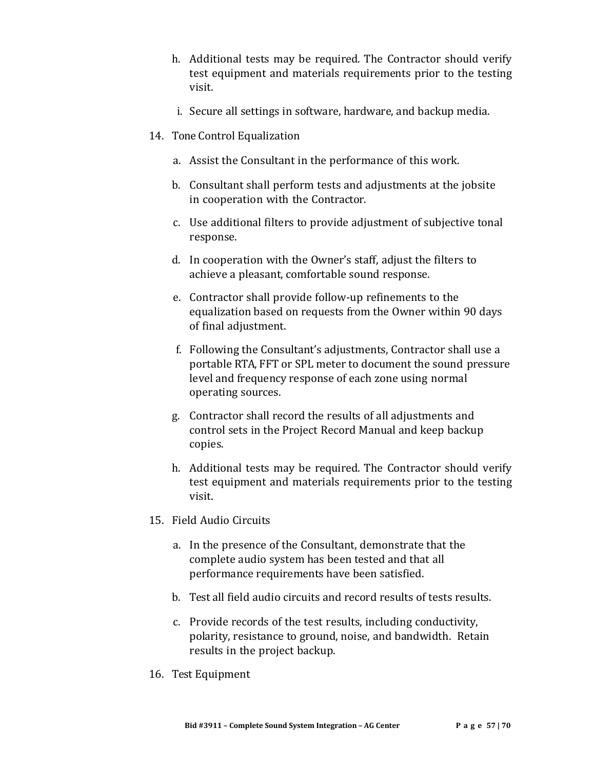- h. Additional tests may be required. The Contractor should verify test equipment and materials requirements prior to the testing visit.
- i. Secure all settings in software, hardware, and backup media.
- 14. Tone Control Equalization
	- a. Assist the Consultant in the performance of this work.
	- b. Consultant shall perform tests and adjustments at the jobsite in cooperation with the Contractor.
	- c. Use additional filters to provide adjustment of subjective tonal response.
	- d. In cooperation with the Owner's staff, adjust the filters to achieve a pleasant, comfortable sound response.
	- e. Contractor shall provide follow-up refinements to the equalization based on requests from the Owner within 90 days of final adjustment.
	- f. Following the Consultant's adjustments, Contractor shall use a portable RTA, FFT or SPL meter to document the sound pressure level and frequency response of each zone using normal operating sources.
	- g. Contractor shall record the results of all adjustments and control sets in the Project Record Manual and keep backup copies.
	- h. Additional tests may be required. The Contractor should verify test equipment and materials requirements prior to the testing visit.
- 15. Field Audio Circuits
	- a. In the presence of the Consultant, demonstrate that the complete audio system has been tested and that all performance requirements have been satisfied.
	- b. Test all field audio circuits and record results of tests results.
	- c. Provide records of the test results, including conductivity, polarity, resistance to ground, noise, and bandwidth. Retain results in the project backup.
- 16. Test Equipment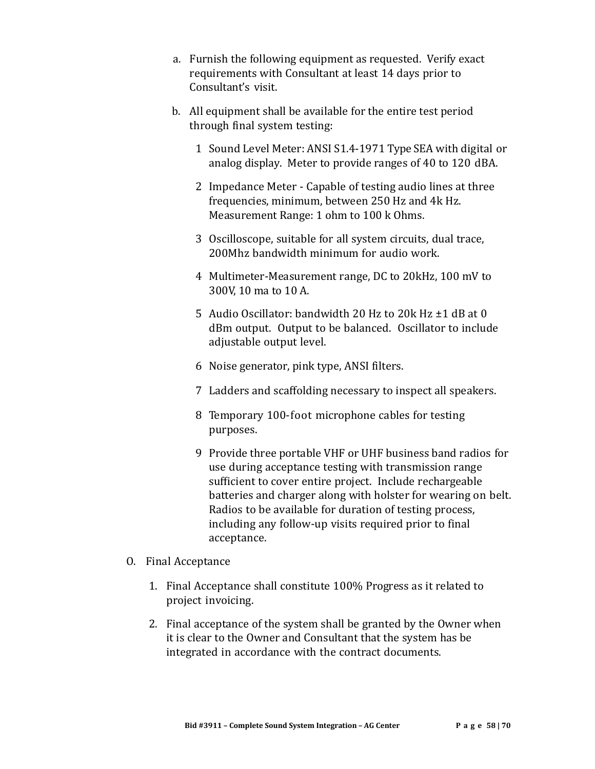- a. Furnish the following equipment as requested. Verify exact requirements with Consultant at least 14 days prior to Consultant's visit.
- b. All equipment shall be available for the entire test period through final system testing:
	- 1 Sound Level Meter: ANSI S1.4-1971 Type SEA with digital or analog display. Meter to provide ranges of 40 to 120 dBA.
	- 2 Impedance Meter Capable of testing audio lines at three frequencies, minimum, between 250 Hz and 4k Hz. Measurement Range: 1 ohm to 100 k Ohms.
	- 3 Oscilloscope, suitable for all system circuits, dual trace, 200Mhz bandwidth minimum for audio work.
	- 4 Multimeter-Measurement range, DC to 20kHz, 100 mV to 300V, 10 ma to 10 A.
	- 5 Audio Oscillator: bandwidth 20 Hz to 20k Hz ±1 dB at 0 dBm output. Output to be balanced. Oscillator to include adjustable output level.
	- 6 Noise generator, pink type, ANSI filters.
	- 7 Ladders and scaffolding necessary to inspect all speakers.
	- 8 Temporary 100-foot microphone cables for testing purposes.
	- 9 Provide three portable VHF or UHF business band radios for use during acceptance testing with transmission range sufficient to cover entire project. Include rechargeable batteries and charger along with holster for wearing on belt. Radios to be available for duration of testing process, including any follow-up visits required prior to final acceptance.
- O. Final Acceptance
	- 1. Final Acceptance shall constitute 100% Progress as it related to project invoicing.
	- 2. Final acceptance of the system shall be granted by the Owner when it is clear to the Owner and Consultant that the system has be integrated in accordance with the contract documents.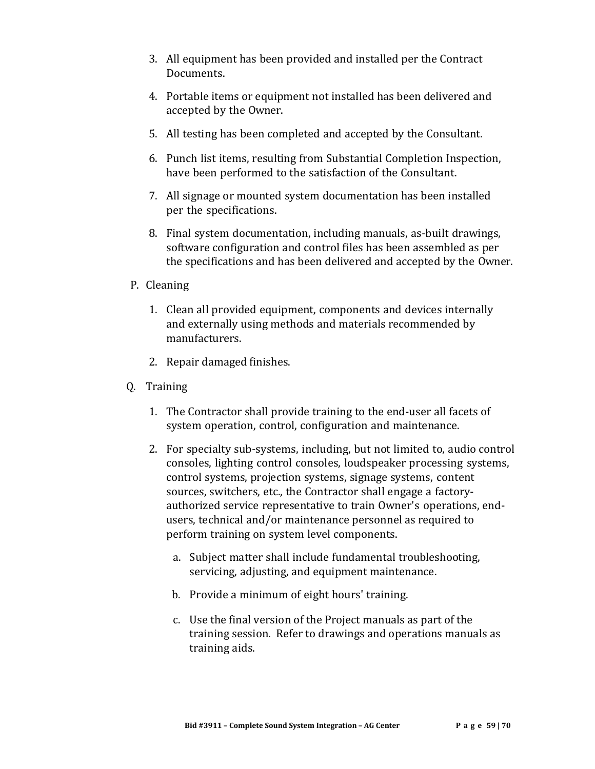- 3. All equipment has been provided and installed per the Contract Documents.
- 4. Portable items or equipment not installed has been delivered and accepted by the Owner.
- 5. All testing has been completed and accepted by the Consultant.
- 6. Punch list items, resulting from Substantial Completion Inspection, have been performed to the satisfaction of the Consultant.
- 7. All signage or mounted system documentation has been installed per the specifications.
- 8. Final system documentation, including manuals, as-built drawings, software configuration and control files has been assembled as per the specifications and has been delivered and accepted by the Owner.
- P. Cleaning
	- 1. Clean all provided equipment, components and devices internally and externally using methods and materials recommended by manufacturers.
	- 2. Repair damaged finishes.
- Q. Training
	- 1. The Contractor shall provide training to the end-user all facets of system operation, control, configuration and maintenance.
	- 2. For specialty sub-systems, including, but not limited to, audio control consoles, lighting control consoles, loudspeaker processing systems, control systems, projection systems, signage systems, content sources, switchers, etc., the Contractor shall engage a factoryauthorized service representative to train Owner's operations, endusers, technical and/or maintenance personnel as required to perform training on system level components.
		- a. Subject matter shall include fundamental troubleshooting, servicing, adjusting, and equipment maintenance.
		- b. Provide a minimum of eight hours' training.
		- c. Use the final version of the Project manuals as part of the training session. Refer to drawings and operations manuals as training aids.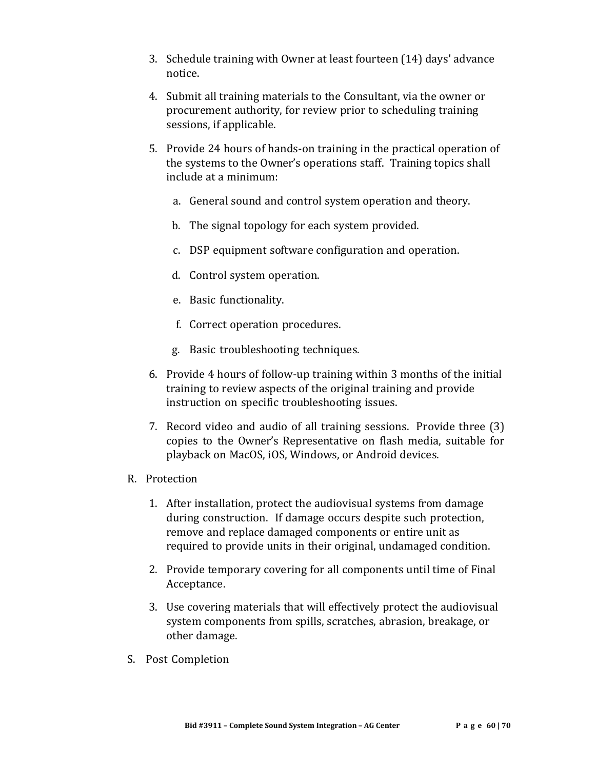- 3. Schedule training with Owner at least fourteen (14) days' advance notice.
- 4. Submit all training materials to the Consultant, via the owner or procurement authority, for review prior to scheduling training sessions, if applicable.
- 5. Provide 24 hours of hands-on training in the practical operation of the systems to the Owner's operations staff. Training topics shall include at a minimum:
	- a. General sound and control system operation and theory.
	- b. The signal topology for each system provided.
	- c. DSP equipment software configuration and operation.
	- d. Control system operation.
	- e. Basic functionality.
	- f. Correct operation procedures.
	- g. Basic troubleshooting techniques.
- 6. Provide 4 hours of follow-up training within 3 months of the initial training to review aspects of the original training and provide instruction on specific troubleshooting issues.
- 7. Record video and audio of all training sessions. Provide three (3) copies to the Owner's Representative on flash media, suitable for playback on MacOS, iOS, Windows, or Android devices.
- R. Protection
	- 1. After installation, protect the audiovisual systems from damage during construction. If damage occurs despite such protection, remove and replace damaged components or entire unit as required to provide units in their original, undamaged condition.
	- 2. Provide temporary covering for all components until time of Final Acceptance.
	- 3. Use covering materials that will effectively protect the audiovisual system components from spills, scratches, abrasion, breakage, or other damage.
- S. Post Completion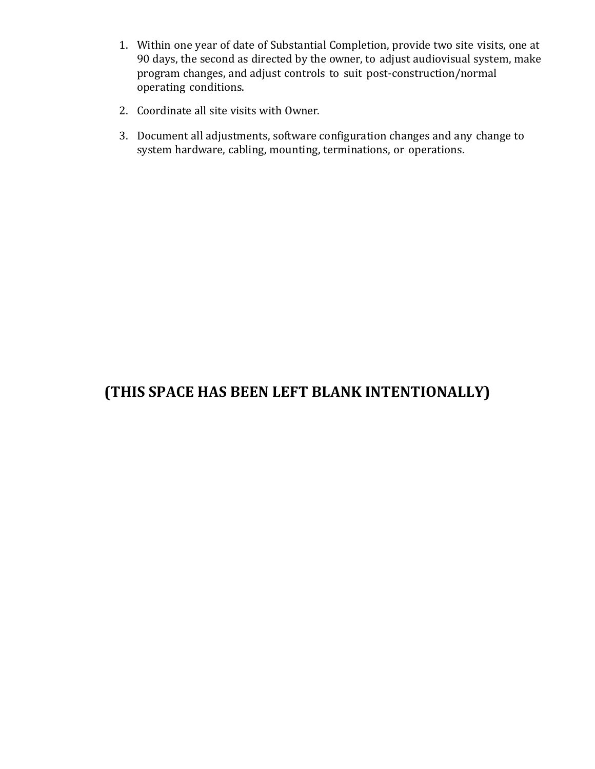- 1. Within one year of date of Substantial Completion, provide two site visits, one at 90 days, the second as directed by the owner, to adjust audiovisual system, make program changes, and adjust controls to suit post-construction/normal operating conditions.
- 2. Coordinate all site visits with Owner.
- 3. Document all adjustments, software configuration changes and any change to system hardware, cabling, mounting, terminations, or operations.

# **(THIS SPACE HAS BEEN LEFT BLANK INTENTIONALLY)**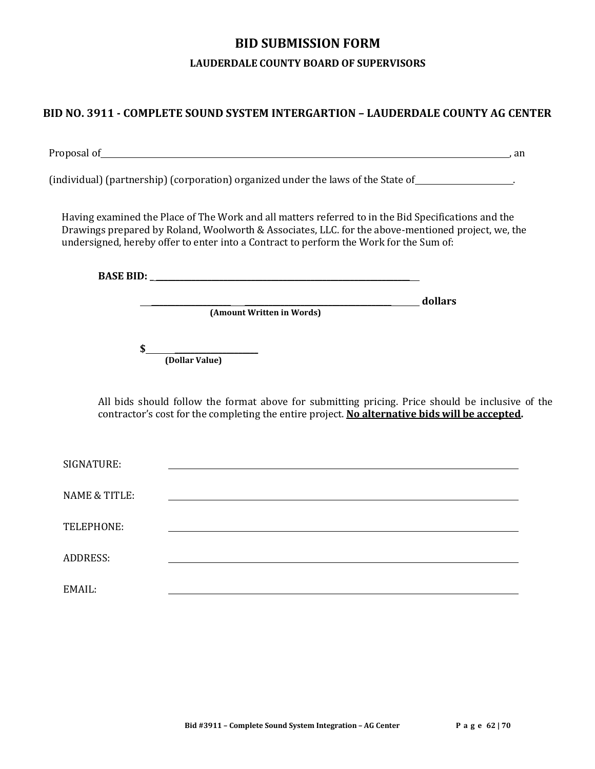# **BID SUBMISSION FORM**

#### **LAUDERDALE COUNTY BOARD OF SUPERVISORS**

# **BID NO. 3911 - COMPLETE SOUND SYSTEM INTERGARTION – LAUDERDALE COUNTY AG CENTER**

| Proposal of_                                                                           | <u> 1989 - Johann Stoff, amerikansk politiker (d. 1989)</u><br>. an                                                                                                                                       |
|----------------------------------------------------------------------------------------|-----------------------------------------------------------------------------------------------------------------------------------------------------------------------------------------------------------|
|                                                                                        | (individual) (partnership) (corporation) organized under the laws of the State of                                                                                                                         |
| undersigned, hereby offer to enter into a Contract to perform the Work for the Sum of: | Having examined the Place of The Work and all matters referred to in the Bid Specifications and the<br>Drawings prepared by Roland, Woolworth & Associates, LLC. for the above-mentioned project, we, the |
|                                                                                        |                                                                                                                                                                                                           |
|                                                                                        | dollars<br>(Amount Written in Words)                                                                                                                                                                      |
| \$<br>(Dollar Value)                                                                   |                                                                                                                                                                                                           |
|                                                                                        | All bids should follow the format above for submitting pricing. Price should be inclusive of the<br>contractor's cost for the completing the entire project. No alternative bids will be accepted.        |
| SIGNATURE:                                                                             |                                                                                                                                                                                                           |
| <b>NAME &amp; TITLE:</b>                                                               |                                                                                                                                                                                                           |
| TELEPHONE:                                                                             |                                                                                                                                                                                                           |
| <b>ADDRESS:</b>                                                                        |                                                                                                                                                                                                           |
| EMAIL:                                                                                 |                                                                                                                                                                                                           |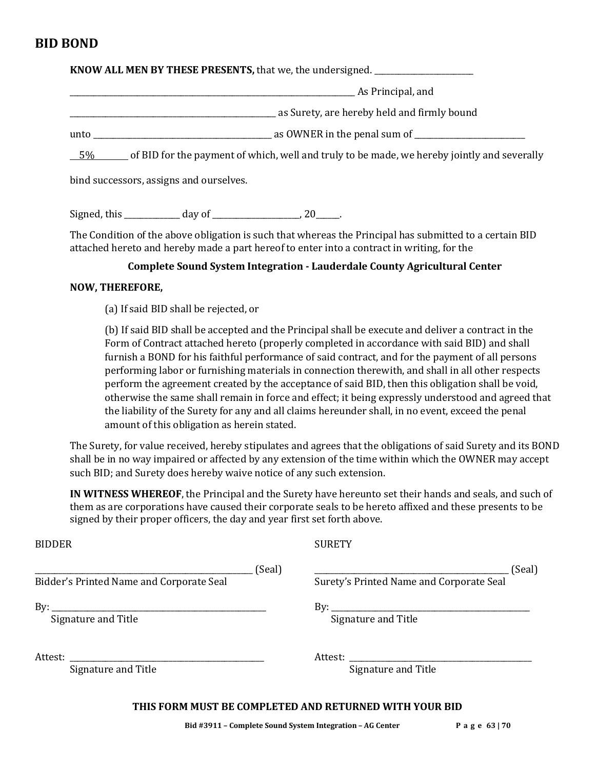# **BID BOND**

**KNOW ALL MEN BY THESE PRESENTS, that we, the undersigned.** 

\_\_\_\_\_\_\_\_\_\_\_\_\_\_\_\_\_\_\_\_\_\_\_\_\_\_\_\_\_\_\_\_\_\_\_\_\_\_\_\_\_\_\_\_\_\_\_\_\_\_\_\_\_\_\_\_\_\_\_\_\_\_\_\_\_\_\_\_\_\_\_\_ As Principal, and

\_\_\_\_\_\_\_\_\_\_\_\_\_\_\_\_\_\_\_\_\_\_\_\_\_\_\_\_\_\_\_\_\_\_\_\_\_\_\_\_\_\_\_\_\_\_\_\_\_\_\_\_ as Surety, are hereby held and firmly bound

unto \_\_\_\_\_\_\_\_\_\_\_\_\_\_\_\_\_\_\_\_\_\_\_\_\_\_\_\_\_\_\_\_\_\_\_\_\_\_\_\_\_\_\_\_\_ as OWNER in the penal sum of \_\_\_\_\_\_\_\_\_\_\_\_\_\_\_\_\_\_\_\_\_\_\_\_\_\_\_\_

5% of BID for the payment of which, well and truly to be made, we hereby jointly and severally

bind successors, assigns and ourselves.

Signed, this  $\qquad \qquad \text{day of} \qquad \qquad \text{, } 20 \qquad \text{.}$ 

The Condition of the above obligation is such that whereas the Principal has submitted to a certain BID attached hereto and hereby made a part hereof to enter into a contract in writing, for the

#### **Complete Sound System Integration - Lauderdale County Agricultural Center**

#### **NOW, THEREFORE,**

(a) If said BID shall be rejected, or

(b) If said BID shall be accepted and the Principal shall be execute and deliver a contract in the Form of Contract attached hereto (properly completed in accordance with said BID) and shall furnish a BOND for his faithful performance of said contract, and for the payment of all persons performing labor or furnishing materials in connection therewith, and shall in all other respects perform the agreement created by the acceptance of said BID, then this obligation shall be void, otherwise the same shall remain in force and effect; it being expressly understood and agreed that the liability of the Surety for any and all claims hereunder shall, in no event, exceed the penal amount of this obligation as herein stated.

The Surety, for value received, hereby stipulates and agrees that the obligations of said Surety and its BOND shall be in no way impaired or affected by any extension of the time within which the OWNER may accept such BID; and Surety does hereby waive notice of any such extension.

**IN WITNESS WHEREOF**, the Principal and the Surety have hereunto set their hands and seals, and such of them as are corporations have caused their corporate seals to be hereto affixed and these presents to be signed by their proper officers, the day and year first set forth above.

BIDDER SURETY

Bidder's Printed Name and Corporate Seal Surety's Printed Name and Corporate Seal

\_\_\_\_\_\_\_\_\_\_\_\_\_\_\_\_\_\_\_\_\_\_\_\_\_\_\_\_\_\_\_\_\_\_\_\_\_\_\_\_\_\_\_\_\_\_\_\_\_\_\_\_\_\_\_ (Seal) \_\_\_\_\_\_\_\_\_\_\_\_\_\_\_\_\_\_\_\_\_\_\_\_\_\_\_\_\_\_\_\_\_\_\_\_\_\_\_\_\_\_\_\_\_\_\_\_\_ (Seal)

By: \_\_\_\_\_\_\_\_\_\_\_\_\_\_\_\_\_\_\_\_\_\_\_\_\_\_\_\_\_\_\_\_\_\_\_\_\_\_\_\_\_\_\_\_\_\_\_\_\_\_\_\_\_\_ By: \_\_\_\_\_\_\_\_\_\_\_\_\_\_\_\_\_\_\_\_\_\_\_\_\_\_\_\_\_\_\_\_\_\_\_\_\_\_\_\_\_\_\_\_\_\_\_\_\_\_ Signature and Title Signature and Title Signature and Title

Attest: \_\_\_\_\_\_\_\_\_\_\_\_\_\_\_\_\_\_\_\_\_\_\_\_\_\_\_\_\_\_\_\_\_\_\_\_\_\_\_\_\_\_\_\_\_\_\_\_\_ Attest: \_\_\_\_\_\_\_\_\_\_\_\_\_\_\_\_\_\_\_\_\_\_\_\_\_\_\_\_\_\_\_\_\_\_\_\_\_\_\_\_\_\_\_\_\_\_

Signature and Title Signature and Title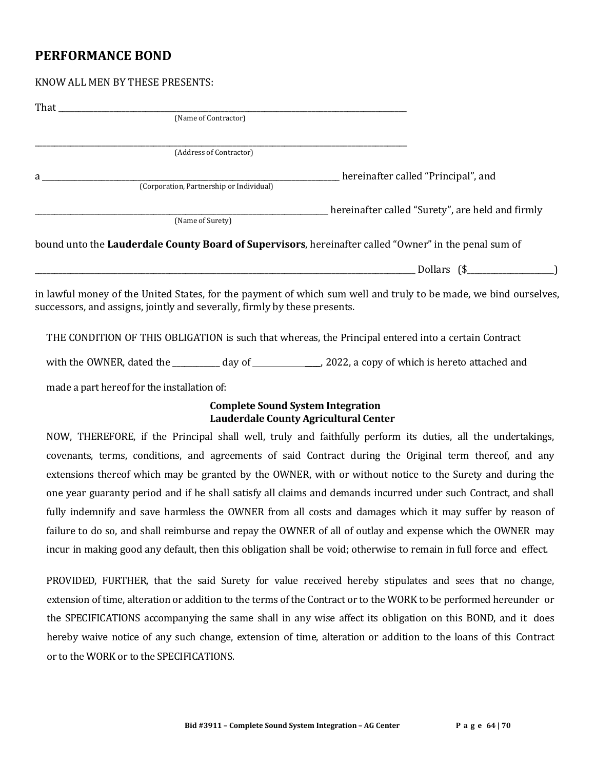# **PERFORMANCE BOND**

|   | (Name of Contractor)                                                                                  |
|---|-------------------------------------------------------------------------------------------------------|
|   | (Address of Contractor)                                                                               |
| a | hereinafter called "Principal", and<br>(Corporation, Partnership or Individual)                       |
|   | hereinafter called "Surety", are held and firmly<br>(Name of Surety)                                  |
|   | bound unto the Lauderdale County Board of Supervisors, hereinafter called "Owner" in the penal sum of |
|   | Dollars $(\$$                                                                                         |

in lawful money of the United States, for the payment of which sum well and truly to be made, we bind ourselves, successors, and assigns, jointly and severally, firmly by these presents.

THE CONDITION OF THIS OBLIGATION is such that whereas, the Principal entered into a certain Contract

with the OWNER, dated the \_\_\_\_\_\_\_\_\_\_\_\_ day of \_\_\_\_, 2022, a copy of which is hereto attached and

made a part hereof for the installation of:

#### **Complete Sound System Integration Lauderdale County Agricultural Center**

NOW, THEREFORE, if the Principal shall well, truly and faithfully perform its duties, all the undertakings, covenants, terms, conditions, and agreements of said Contract during the Original term thereof, and any extensions thereof which may be granted by the OWNER, with or without notice to the Surety and during the one year guaranty period and if he shall satisfy all claims and demands incurred under such Contract, and shall fully indemnify and save harmless the OWNER from all costs and damages which it may suffer by reason of failure to do so, and shall reimburse and repay the OWNER of all of outlay and expense which the OWNER may incur in making good any default, then this obligation shall be void; otherwise to remain in full force and effect.

PROVIDED, FURTHER, that the said Surety for value received hereby stipulates and sees that no change, extension of time, alteration or addition to the terms of the Contract or to the WORK to be performed hereunder or the SPECIFICATIONS accompanying the same shall in any wise affect its obligation on this BOND, and it does hereby waive notice of any such change, extension of time, alteration or addition to the loans of this Contract or to the WORK or to the SPECIFICATIONS.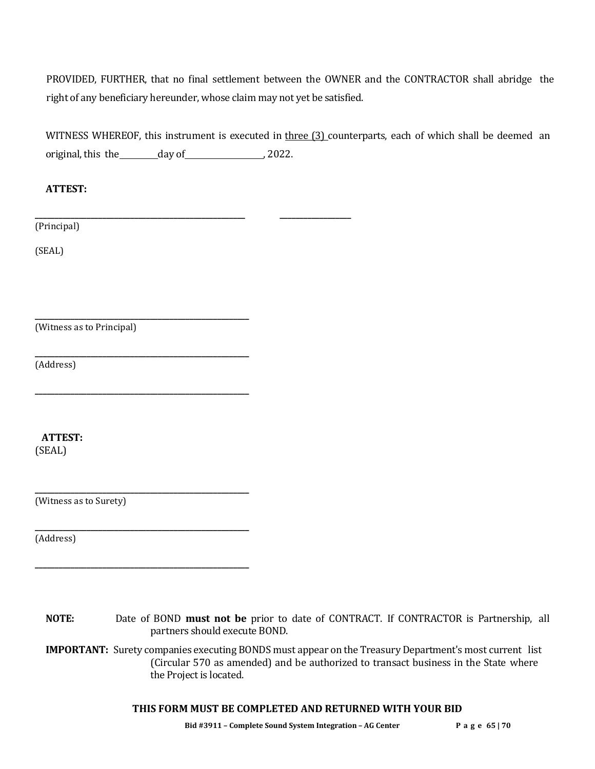PROVIDED, FURTHER, that no final settlement between the OWNER and the CONTRACTOR shall abridge the right of any beneficiary hereunder, whose claim may not yet be satisfied.

WITNESS WHEREOF, this instrument is executed in three (3) counterparts, each of which shall be deemed an original, this the day of , 2022.

**\_\_\_\_\_\_\_\_\_\_\_\_\_\_\_\_\_\_\_\_\_\_\_\_\_\_\_\_\_\_\_\_\_\_\_\_\_\_\_\_\_\_\_\_\_\_\_\_\_\_\_\_\_ \_\_\_\_\_\_\_\_\_\_\_\_\_\_\_\_\_\_**

#### **ATTEST:**

(Principal)

(SEAL)

(Witness as to Principal)

**\_\_\_\_\_\_\_\_\_\_\_\_\_\_\_\_\_\_\_\_\_\_\_\_\_\_\_\_\_\_\_\_\_\_\_\_\_\_\_\_\_\_\_\_\_\_\_\_\_\_\_\_\_\_**

**\_\_\_\_\_\_\_\_\_\_\_\_\_\_\_\_\_\_\_\_\_\_\_\_\_\_\_\_\_\_\_\_\_\_\_\_\_\_\_\_\_\_\_\_\_\_\_\_\_\_\_\_\_\_**

**\_\_\_\_\_\_\_\_\_\_\_\_\_\_\_\_\_\_\_\_\_\_\_\_\_\_\_\_\_\_\_\_\_\_\_\_\_\_\_\_\_\_\_\_\_\_\_\_\_\_\_\_\_\_**

**\_\_\_\_\_\_\_\_\_\_\_\_\_\_\_\_\_\_\_\_\_\_\_\_\_\_\_\_\_\_\_\_\_\_\_\_\_\_\_\_\_\_\_\_\_\_\_\_\_\_\_\_\_\_**

**\_\_\_\_\_\_\_\_\_\_\_\_\_\_\_\_\_\_\_\_\_\_\_\_\_\_\_\_\_\_\_\_\_\_\_\_\_\_\_\_\_\_\_\_\_\_\_\_\_\_\_\_\_\_**

**\_\_\_\_\_\_\_\_\_\_\_\_\_\_\_\_\_\_\_\_\_\_\_\_\_\_\_\_\_\_\_\_\_\_\_\_\_\_\_\_\_\_\_\_\_\_\_\_\_\_\_\_\_\_**

(Address)

 **ATTEST:**

(SEAL)

(Witness as to Surety)

(Address)

**NOTE:** Date of BOND **must not be** prior to date of CONTRACT. If CONTRACTOR is Partnership, all partners should execute BOND.

**IMPORTANT:** Surety companies executing BONDS must appear on the Treasury Department's most current list (Circular 570 as amended) and be authorized to transact business in the State where the Project is located.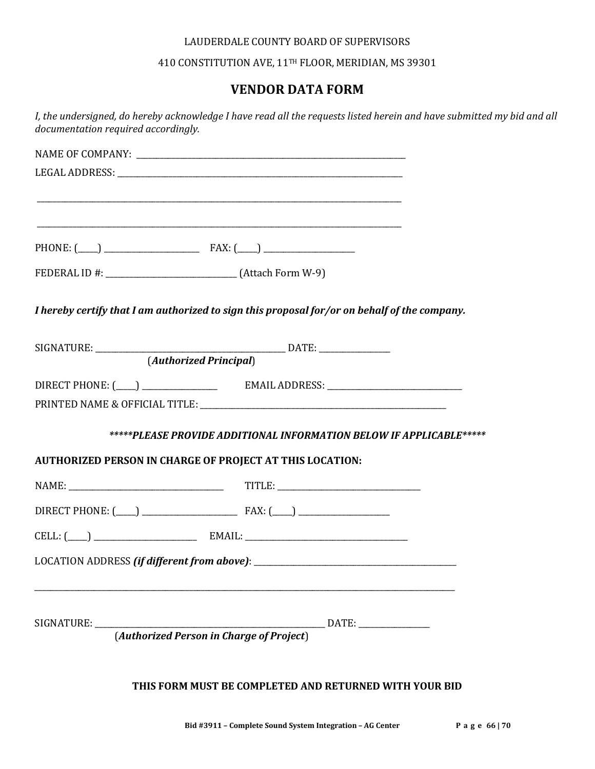#### LAUDERDALE COUNTY BOARD OF SUPERVISORS

410 CONSTITUTION AVE, 11TH FLOOR, MERIDIAN, MS 39301

# **VENDOR DATA FORM**

| documentation required accordingly.                      | I, the undersigned, do hereby acknowledge I have read all the requests listed herein and have submitted my bid and all |
|----------------------------------------------------------|------------------------------------------------------------------------------------------------------------------------|
|                                                          |                                                                                                                        |
|                                                          |                                                                                                                        |
|                                                          |                                                                                                                        |
|                                                          | and the control of the control of the control of the control of the control of the control of the control of the       |
|                                                          |                                                                                                                        |
|                                                          |                                                                                                                        |
|                                                          | I hereby certify that I am authorized to sign this proposal for/or on behalf of the company.                           |
|                                                          |                                                                                                                        |
|                                                          |                                                                                                                        |
|                                                          |                                                                                                                        |
|                                                          |                                                                                                                        |
|                                                          | *****PLEASE PROVIDE ADDITIONAL INFORMATION BELOW IF APPLICABLE*****                                                    |
| AUTHORIZED PERSON IN CHARGE OF PROJECT AT THIS LOCATION: |                                                                                                                        |
|                                                          |                                                                                                                        |
|                                                          |                                                                                                                        |
| $CELL: ($ $)$ $EMAIL:$                                   |                                                                                                                        |
|                                                          |                                                                                                                        |
|                                                          |                                                                                                                        |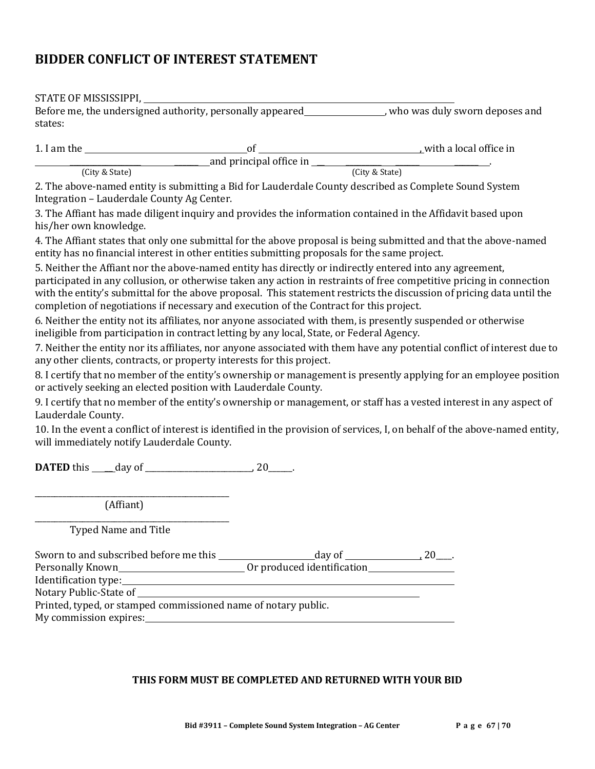# **BIDDER CONFLICT OF INTEREST STATEMENT**

| (City & State)                                                                                                                                                                                                                                                                                                                                                                                                                                       |
|------------------------------------------------------------------------------------------------------------------------------------------------------------------------------------------------------------------------------------------------------------------------------------------------------------------------------------------------------------------------------------------------------------------------------------------------------|
| 2. The above-named entity is submitting a Bid for Lauderdale County described as Complete Sound System                                                                                                                                                                                                                                                                                                                                               |
| 3. The Affiant has made diligent inquiry and provides the information contained in the Affidavit based upon                                                                                                                                                                                                                                                                                                                                          |
| 4. The Affiant states that only one submittal for the above proposal is being submitted and that the above-named<br>entity has no financial interest in other entities submitting proposals for the same project.                                                                                                                                                                                                                                    |
| 5. Neither the Affiant nor the above-named entity has directly or indirectly entered into any agreement,<br>participated in any collusion, or otherwise taken any action in restraints of free competitive pricing in connection<br>with the entity's submittal for the above proposal. This statement restricts the discussion of pricing data until the<br>completion of negotiations if necessary and execution of the Contract for this project. |
| 6. Neither the entity not its affiliates, nor anyone associated with them, is presently suspended or otherwise<br>ineligible from participation in contract letting by any local, State, or Federal Agency.                                                                                                                                                                                                                                          |
| 7. Neither the entity nor its affiliates, nor anyone associated with them have any potential conflict of interest due to                                                                                                                                                                                                                                                                                                                             |
| 8. I certify that no member of the entity's ownership or management is presently applying for an employee position                                                                                                                                                                                                                                                                                                                                   |
| 9. I certify that no member of the entity's ownership or management, or staff has a vested interest in any aspect of                                                                                                                                                                                                                                                                                                                                 |
| 10. In the event a conflict of interest is identified in the provision of services, I, on behalf of the above-named entity,                                                                                                                                                                                                                                                                                                                          |
|                                                                                                                                                                                                                                                                                                                                                                                                                                                      |
|                                                                                                                                                                                                                                                                                                                                                                                                                                                      |
|                                                                                                                                                                                                                                                                                                                                                                                                                                                      |
|                                                                                                                                                                                                                                                                                                                                                                                                                                                      |
|                                                                                                                                                                                                                                                                                                                                                                                                                                                      |
|                                                                                                                                                                                                                                                                                                                                                                                                                                                      |
|                                                                                                                                                                                                                                                                                                                                                                                                                                                      |
| My commission expires:                                                                                                                                                                                                                                                                                                                                                                                                                               |
|                                                                                                                                                                                                                                                                                                                                                                                                                                                      |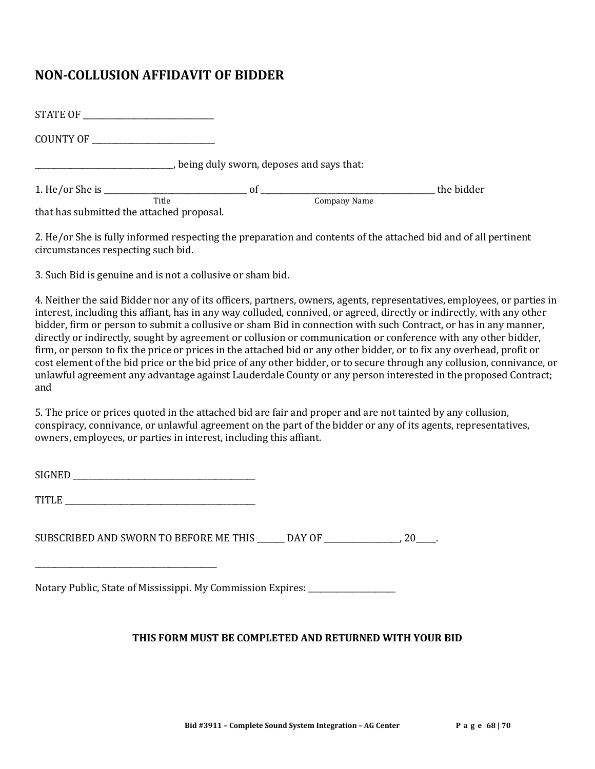# **NON-COLLUSION AFFIDAVIT OF BIDDER**

| COUNTY OF                                                                                                                                                                                                                         |       |                                          |            |
|-----------------------------------------------------------------------------------------------------------------------------------------------------------------------------------------------------------------------------------|-------|------------------------------------------|------------|
|                                                                                                                                                                                                                                   |       | being duly sworn, deposes and says that: |            |
|                                                                                                                                                                                                                                   |       |                                          | the bidder |
| $\mathbf{a}$ , and the state of the state of the state of the state of the state of the state of the state of the state of the state of the state of the state of the state of the state of the state of the state of the state o | Title | Company Name                             |            |

that has submitted the attached proposal.

2. He/or She is fully informed respecting the preparation and contents of the attached bid and of all pertinent circumstances respecting such bid.

3. Such Bid is genuine and is not a collusive or sham bid.

4. Neither the said Bidder nor any of its officers, partners, owners, agents, representatives, employees, or parties in interest, including this affiant, has in any way colluded, connived, or agreed, directly or indirectly, with any other bidder, firm or person to submit a collusive or sham Bid in connection with such Contract, or has in any manner, directly or indirectly, sought by agreement or collusion or communication or conference with any other bidder, firm, or person to fix the price or prices in the attached bid or any other bidder, or to fix any overhead, profit or cost element of the bid price or the bid price of any other bidder, or to secure through any collusion, connivance, or unlawful agreement any advantage against Lauderdale County or any person interested in the proposed Contract; and

5. The price or prices quoted in the attached bid are fair and proper and are not tainted by any collusion, conspiracy, connivance, or unlawful agreement on the part of the bidder or any of its agents, representatives, owners, employees, or parties in interest, including this affiant.

| CICNED<br>$ -$ |  |
|----------------|--|
|----------------|--|

TITLE **TITLE** 

\_\_\_\_\_\_\_\_\_\_\_\_\_\_\_\_\_\_\_\_\_\_\_\_\_\_\_\_\_\_\_\_\_\_\_\_\_\_\_\_\_\_\_\_\_\_

SUBSCRIBED AND SWORN TO BEFORE ME THIS \_\_\_\_\_\_\_ DAY OF \_\_\_\_\_\_\_\_\_\_\_\_\_\_\_\_\_\_\_, 20\_\_\_\_\_.

Notary Public, State of Mississippi. My Commission Expires: \_\_\_\_\_\_\_\_\_\_\_\_\_\_\_\_\_\_\_\_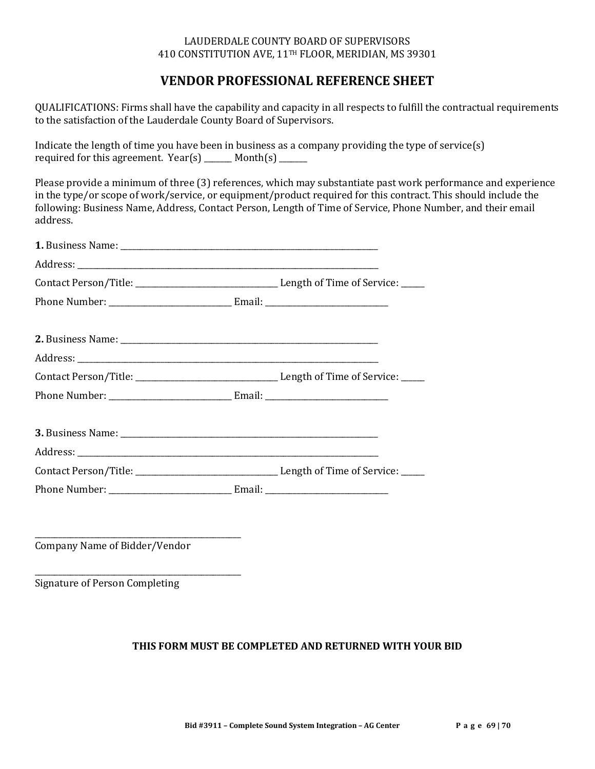#### LAUDERDALE COUNTY BOARD OF SUPERVISORS 410 CONSTITUTION AVE, 11TH FLOOR, MERIDIAN, MS 39301

# **VENDOR PROFESSIONAL REFERENCE SHEET**

QUALIFICATIONS: Firms shall have the capability and capacity in all respects to fulfill the contractual requirements to the satisfaction of the Lauderdale County Board of Supervisors.

Indicate the length of time you have been in business as a company providing the type of service(s) required for this agreement.  $Year(s)$  \_\_\_\_\_\_\_\_ Month(s) \_\_\_\_\_\_\_

Please provide a minimum of three (3) references, which may substantiate past work performance and experience in the type/or scope of work/service, or equipment/product required for this contract. This should include the following: Business Name, Address, Contact Person, Length of Time of Service, Phone Number, and their email address.

\_\_\_\_\_\_\_\_\_\_\_\_\_\_\_\_\_\_\_\_\_\_\_\_\_\_\_\_\_\_\_\_\_\_\_\_\_\_\_\_\_\_\_\_\_\_\_\_\_\_\_\_ Company Name of Bidder/Vendor

\_\_\_\_\_\_\_\_\_\_\_\_\_\_\_\_\_\_\_\_\_\_\_\_\_\_\_\_\_\_\_\_\_\_\_\_\_\_\_\_\_\_\_\_\_\_\_\_\_\_\_\_ Signature of Person Completing